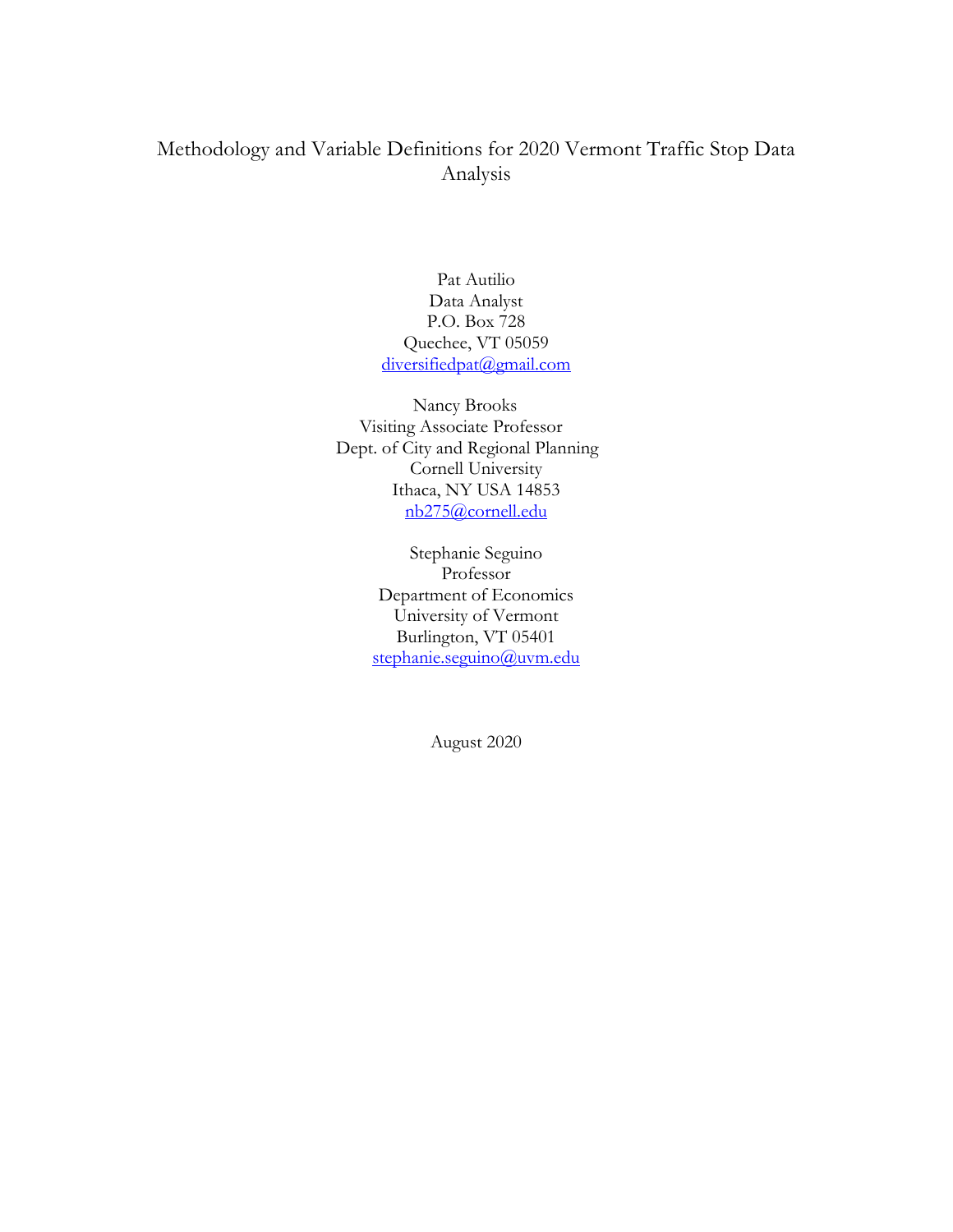# Methodology and Variable Definitions for 2020 Vermont Traffic Stop Data Analysis

Pat Autilio Data Analyst P.O. Box 728 Quechee, VT 05059 diversifiedpat@gmail.com

 Nancy Brooks Visiting Associate Professor Dept. of City and Regional Planning Cornell University Ithaca, NY USA 14853 nb275@cornell.edu

> Stephanie Seguino Professor Department of Economics University of Vermont Burlington, VT 05401 stephanie.seguino@uvm.edu

> > August 2020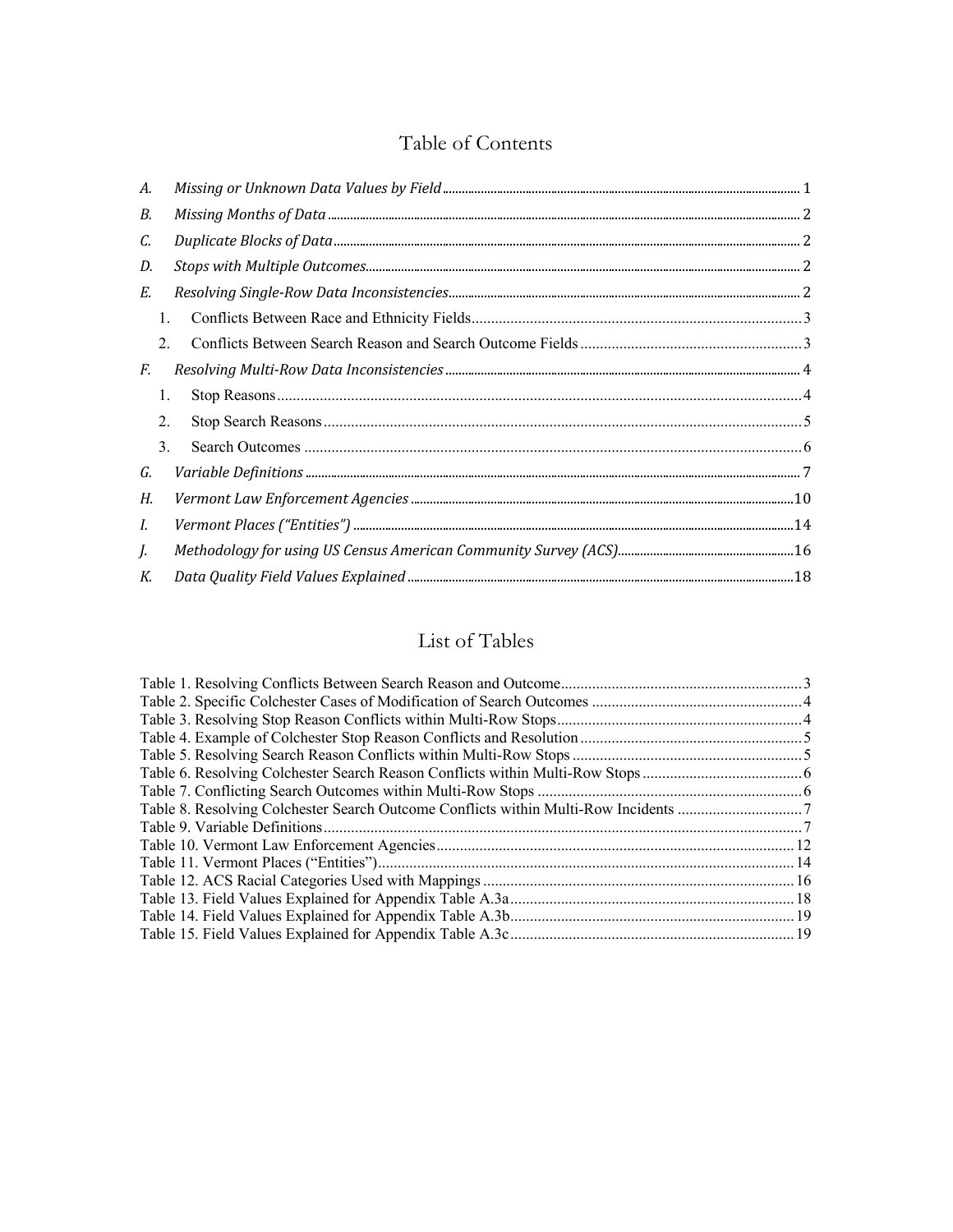# Table of Contents

| А. |    |  |
|----|----|--|
| В. |    |  |
| C. |    |  |
| D. |    |  |
| Е. |    |  |
|    | 1. |  |
|    | 2. |  |
| F. |    |  |
|    | 1. |  |
|    | 2. |  |
|    | 3. |  |
| G. |    |  |
| Н. |    |  |
| L. |    |  |
| J. |    |  |
| К. |    |  |

# List of Tables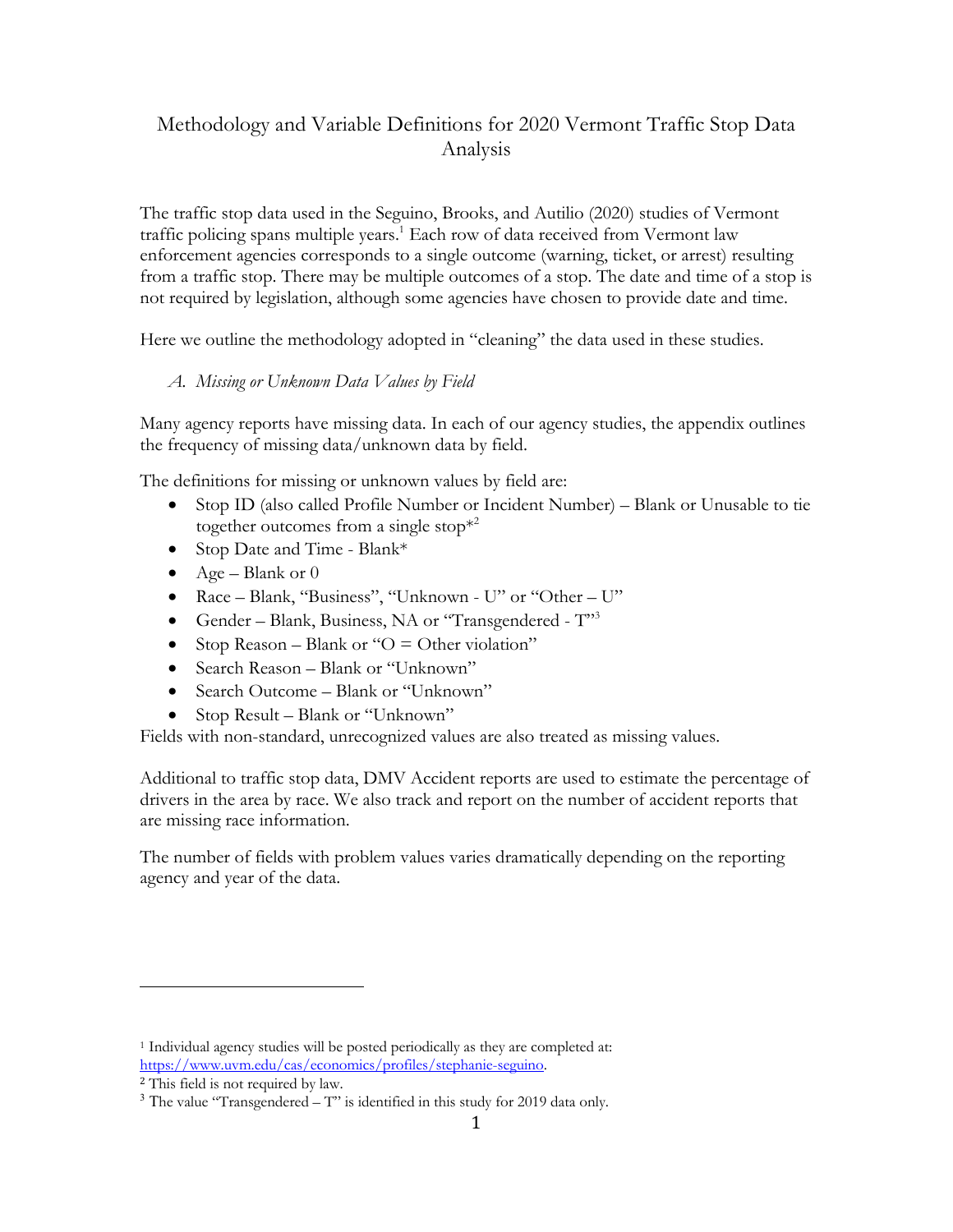## Methodology and Variable Definitions for 2020 Vermont Traffic Stop Data Analysis

The traffic stop data used in the Seguino, Brooks, and Autilio (2020) studies of Vermont traffic policing spans multiple years.<sup>1</sup> Each row of data received from Vermont law enforcement agencies corresponds to a single outcome (warning, ticket, or arrest) resulting from a traffic stop. There may be multiple outcomes of a stop. The date and time of a stop is not required by legislation, although some agencies have chosen to provide date and time.

Here we outline the methodology adopted in "cleaning" the data used in these studies.

#### *A. Missing or Unknown Data Values by Field*

Many agency reports have missing data. In each of our agency studies, the appendix outlines the frequency of missing data/unknown data by field.

The definitions for missing or unknown values by field are:

- Stop ID (also called Profile Number or Incident Number) Blank or Unusable to tie together outcomes from a single stop $*^2$
- Stop Date and Time Blank\*
- Age Blank or  $0$
- Race Blank, "Business", "Unknown U" or "Other U"
- Gender Blank, Business, NA or "Transgendered T"<sup>3</sup>
- Stop Reason Blank or " $O =$  Other violation"
- Search Reason Blank or "Unknown"
- Search Outcome Blank or "Unknown"
- Stop Result Blank or "Unknown"

Fields with non-standard, unrecognized values are also treated as missing values.

Additional to traffic stop data, DMV Accident reports are used to estimate the percentage of drivers in the area by race. We also track and report on the number of accident reports that are missing race information.

The number of fields with problem values varies dramatically depending on the reporting agency and year of the data.

<sup>&</sup>lt;sup>1</sup> Individual agency studies will be posted periodically as they are completed at: https://www.uvm.edu/cas/economics/profiles/stephanie-seguino.

<sup>2</sup> This field is not required by law.

 $3$  The value "Transgendered  $-$  T" is identified in this study for 2019 data only.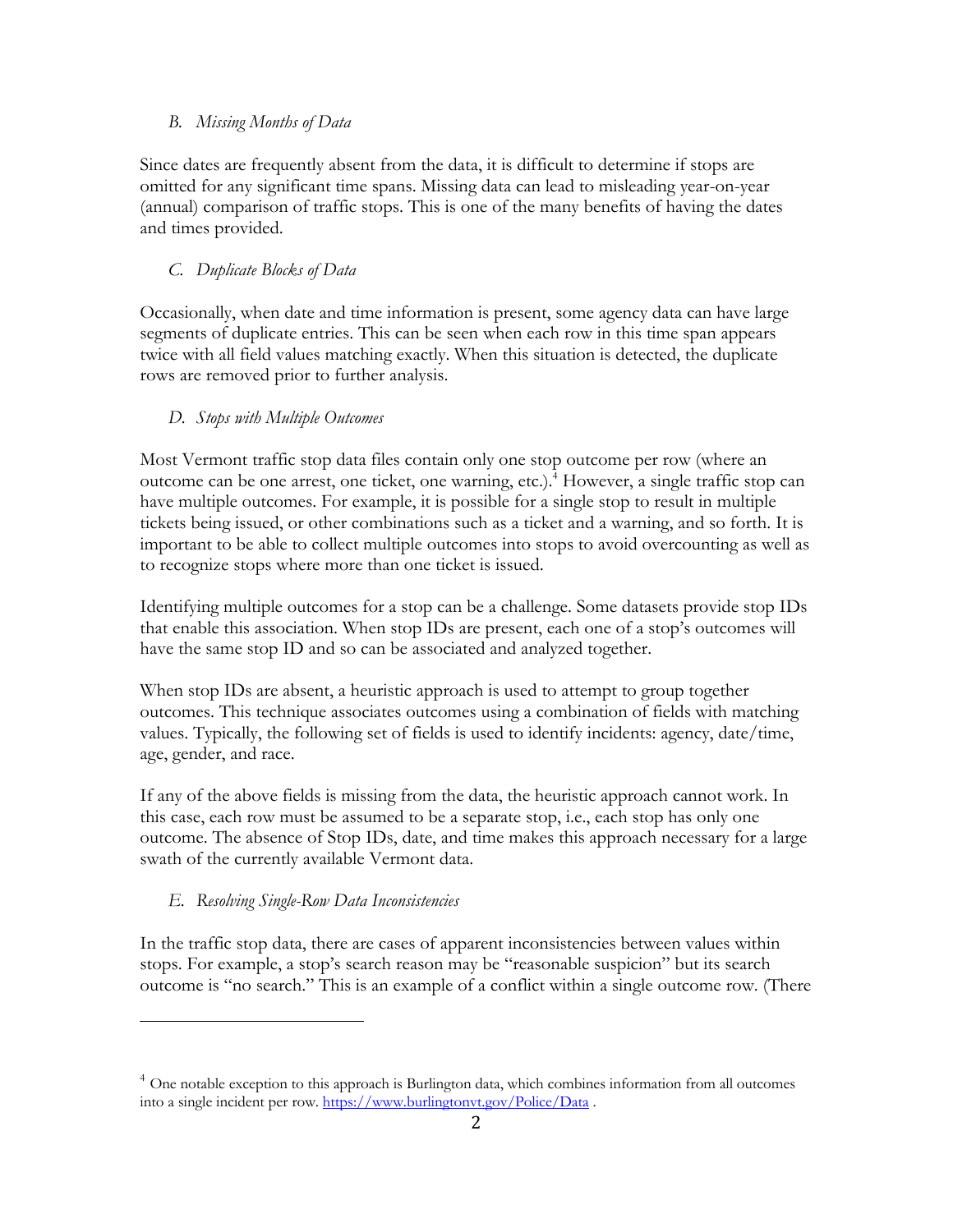#### *B. Missing Months of Data*

Since dates are frequently absent from the data, it is difficult to determine if stops are omitted for any significant time spans. Missing data can lead to misleading year-on-year (annual) comparison of traffic stops. This is one of the many benefits of having the dates and times provided.

#### *C. Duplicate Blocks of Data*

Occasionally, when date and time information is present, some agency data can have large segments of duplicate entries. This can be seen when each row in this time span appears twice with all field values matching exactly. When this situation is detected, the duplicate rows are removed prior to further analysis.

#### *D. Stops with Multiple Outcomes*

Most Vermont traffic stop data files contain only one stop outcome per row (where an outcome can be one arrest, one ticket, one warning, etc.). <sup>4</sup> However, a single traffic stop can have multiple outcomes. For example, it is possible for a single stop to result in multiple tickets being issued, or other combinations such as a ticket and a warning, and so forth. It is important to be able to collect multiple outcomes into stops to avoid overcounting as well as to recognize stops where more than one ticket is issued.

Identifying multiple outcomes for a stop can be a challenge. Some datasets provide stop IDs that enable this association. When stop IDs are present, each one of a stop's outcomes will have the same stop ID and so can be associated and analyzed together.

When stop IDs are absent, a heuristic approach is used to attempt to group together outcomes. This technique associates outcomes using a combination of fields with matching values. Typically, the following set of fields is used to identify incidents: agency, date/time, age, gender, and race.

If any of the above fields is missing from the data, the heuristic approach cannot work. In this case, each row must be assumed to be a separate stop, i.e., each stop has only one outcome. The absence of Stop IDs, date, and time makes this approach necessary for a large swath of the currently available Vermont data.

## *E. Resolving Single-Row Data Inconsistencies*

In the traffic stop data, there are cases of apparent inconsistencies between values within stops. For example, a stop's search reason may be "reasonable suspicion" but its search outcome is "no search." This is an example of a conflict within a single outcome row. (There

<sup>&</sup>lt;sup>4</sup> One notable exception to this approach is Burlington data, which combines information from all outcomes into a single incident per row. https://www.burlingtonvt.gov/Police/Data .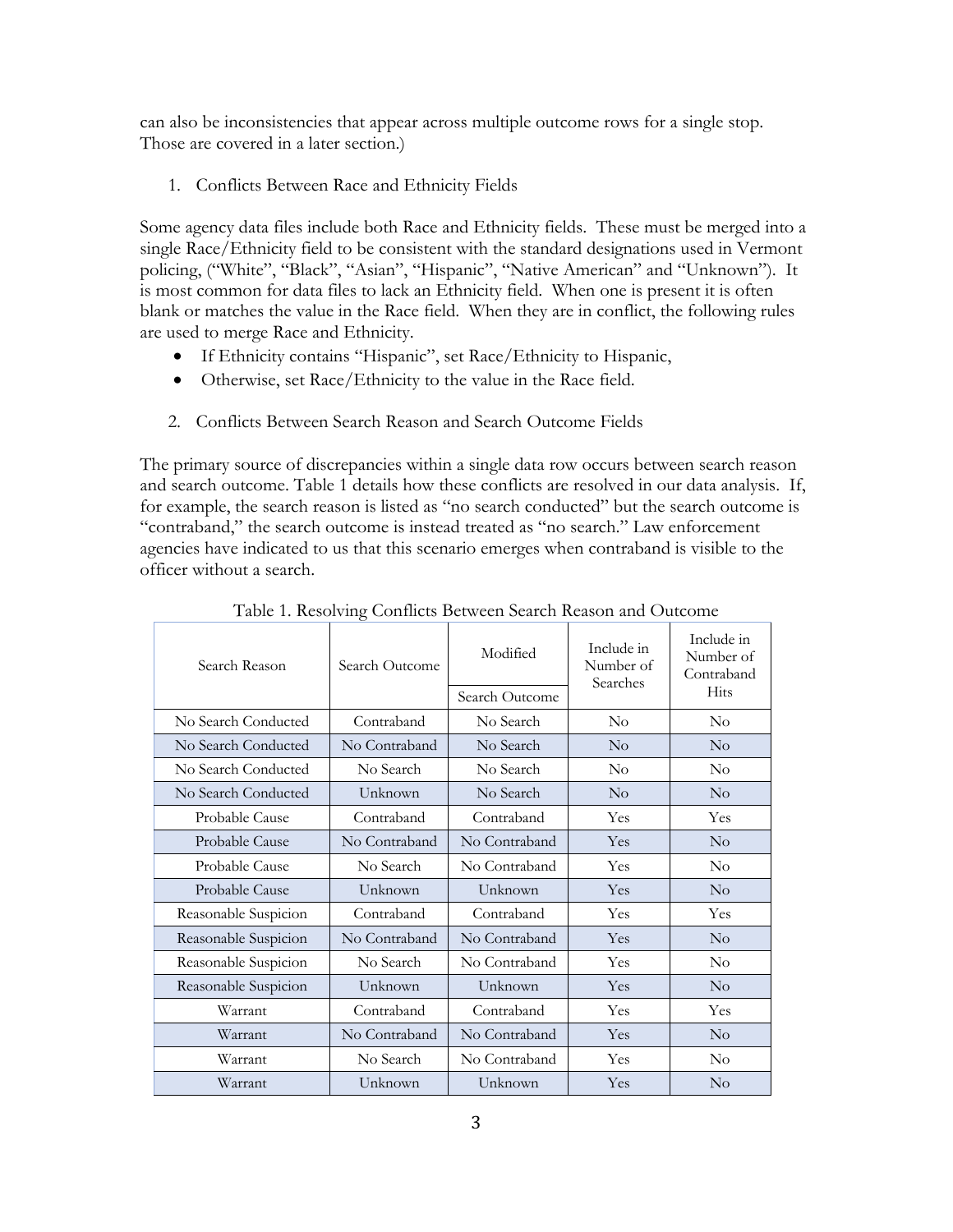can also be inconsistencies that appear across multiple outcome rows for a single stop. Those are covered in a later section.)

1. Conflicts Between Race and Ethnicity Fields

Some agency data files include both Race and Ethnicity fields. These must be merged into a single Race/Ethnicity field to be consistent with the standard designations used in Vermont policing, ("White", "Black", "Asian", "Hispanic", "Native American" and "Unknown"). It is most common for data files to lack an Ethnicity field. When one is present it is often blank or matches the value in the Race field. When they are in conflict, the following rules are used to merge Race and Ethnicity.

- If Ethnicity contains "Hispanic", set Race/Ethnicity to Hispanic,
- Otherwise, set Race/Ethnicity to the value in the Race field.
- 2. Conflicts Between Search Reason and Search Outcome Fields

The primary source of discrepancies within a single data row occurs between search reason and search outcome. Table 1 details how these conflicts are resolved in our data analysis. If, for example, the search reason is listed as "no search conducted" but the search outcome is "contraband," the search outcome is instead treated as "no search." Law enforcement agencies have indicated to us that this scenario emerges when contraband is visible to the officer without a search.

| Search Reason        | Search Outcome | Modified<br>Search Outcome | Include in<br>Number of<br>Searches | Include in<br>Number of<br>Contraband<br>Hits |
|----------------------|----------------|----------------------------|-------------------------------------|-----------------------------------------------|
| No Search Conducted  | Contraband     | No Search                  | $\rm No$                            | $\rm No$                                      |
| No Search Conducted  | No Contraband  | No Search                  | $\rm No$                            | $\rm No$                                      |
| No Search Conducted  | No Search      | No Search                  | $\rm No$                            | $\rm No$                                      |
| No Search Conducted  | Unknown        | No Search                  | No                                  | No                                            |
| Probable Cause       | Contraband     | Contraband                 | Yes                                 | Yes                                           |
| Probable Cause       | No Contraband  | No Contraband              | Yes                                 | $\rm No$                                      |
| Probable Cause       | No Search      | No Contraband              | Yes                                 | $\rm No$                                      |
| Probable Cause       | Unknown        | Unknown                    | Yes                                 | $\rm No$                                      |
| Reasonable Suspicion | Contraband     | Contraband                 | Yes                                 | Yes                                           |
| Reasonable Suspicion | No Contraband  | No Contraband              | Yes                                 | No                                            |
| Reasonable Suspicion | No Search      | No Contraband              | Yes                                 | $\rm No$                                      |
| Reasonable Suspicion | Unknown        | Unknown                    | Yes                                 | $\rm No$                                      |
| Warrant              | Contraband     | Contraband                 | Yes                                 | Yes                                           |
| Warrant              | No Contraband  | No Contraband              | Yes                                 | No                                            |
| Warrant              | No Search      | No Contraband              | Yes                                 | $\rm No$                                      |
| Warrant              | Unknown        | Unknown                    | Yes                                 | No                                            |

Table 1. Resolving Conflicts Between Search Reason and Outcome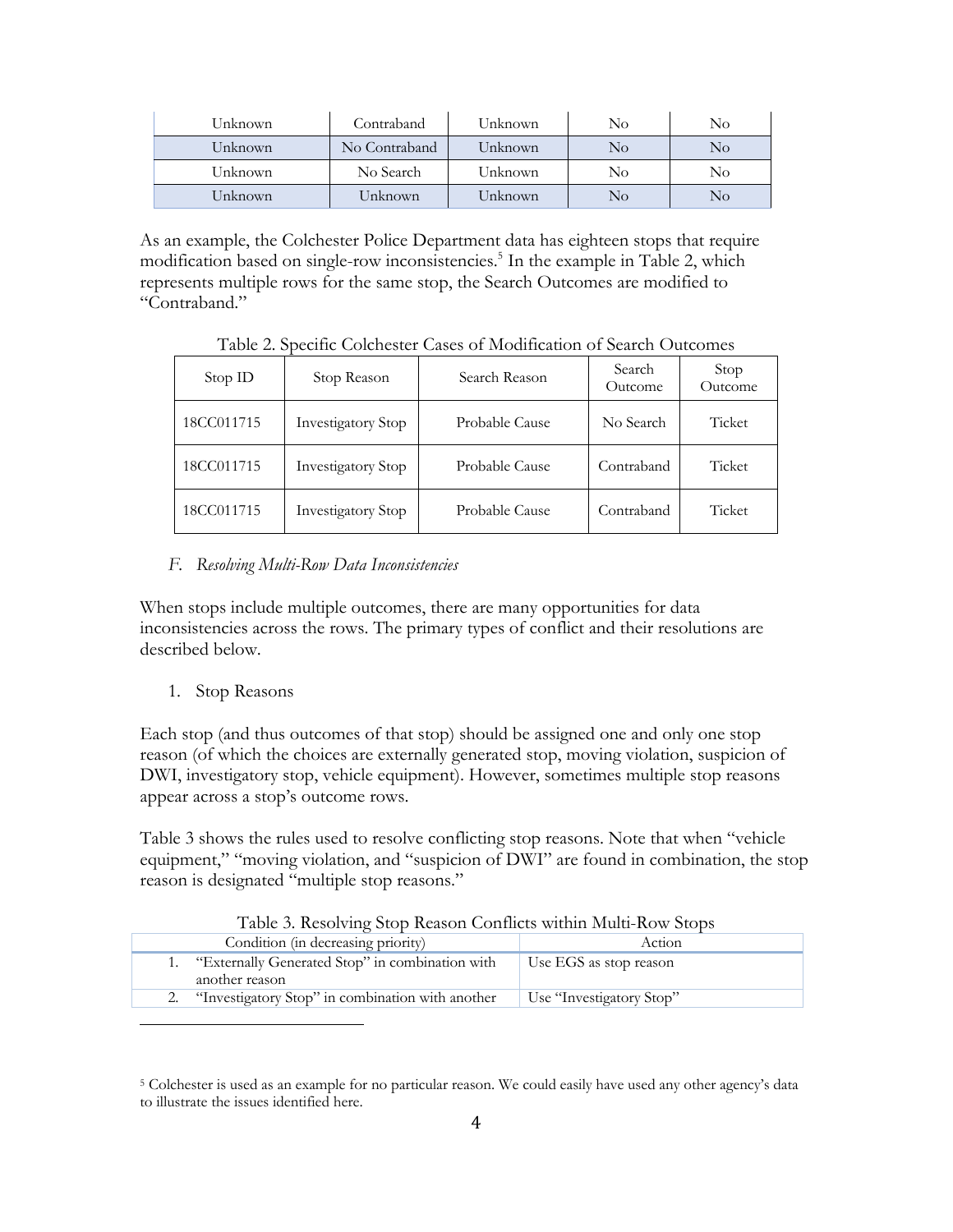| Unknown | Contraband    | Unknown | No | No |
|---------|---------------|---------|----|----|
| Unknown | No Contraband | Unknown | No | No |
| Unknown | No Search     | Unknown | No | No |
| Unknown | Unknown       | Unknown | No | No |

As an example, the Colchester Police Department data has eighteen stops that require modification based on single-row inconsistencies.<sup>5</sup> In the example in Table 2, which represents multiple rows for the same stop, the Search Outcomes are modified to "Contraband."

Table 2. Specific Colchester Cases of Modification of Search Outcomes

| Stop ID    | Stop Reason               | Search Reason  | Search<br>Outcome | Stop<br>Outcome |
|------------|---------------------------|----------------|-------------------|-----------------|
| 18CC011715 | <b>Investigatory Stop</b> | Probable Cause | No Search         | Ticket          |
| 18CC011715 | <b>Investigatory Stop</b> | Probable Cause | Contraband        | Ticket          |
| 18CC011715 | <b>Investigatory Stop</b> | Probable Cause | Contraband        | Ticket          |

### *F. Resolving Multi-Row Data Inconsistencies*

When stops include multiple outcomes, there are many opportunities for data inconsistencies across the rows. The primary types of conflict and their resolutions are described below.

#### 1. Stop Reasons

Each stop (and thus outcomes of that stop) should be assigned one and only one stop reason (of which the choices are externally generated stop, moving violation, suspicion of DWI, investigatory stop, vehicle equipment). However, sometimes multiple stop reasons appear across a stop's outcome rows.

Table 3 shows the rules used to resolve conflicting stop reasons. Note that when "vehicle equipment," "moving violation, and "suspicion of DWI" are found in combination, the stop reason is designated "multiple stop reasons."

| Table 3. Resolving Stop Reason Conflicts within Multi-Row Stops |  |  |
|-----------------------------------------------------------------|--|--|
|-----------------------------------------------------------------|--|--|

| Condition (in decreasing priority)                                | Action                   |
|-------------------------------------------------------------------|--------------------------|
| "Externally Generated Stop" in combination with<br>another reason | Use EGS as stop reason   |
| "Investigatory Stop" in combination with another                  | Use "Investigatory Stop" |

<sup>5</sup> Colchester is used as an example for no particular reason. We could easily have used any other agency's data to illustrate the issues identified here.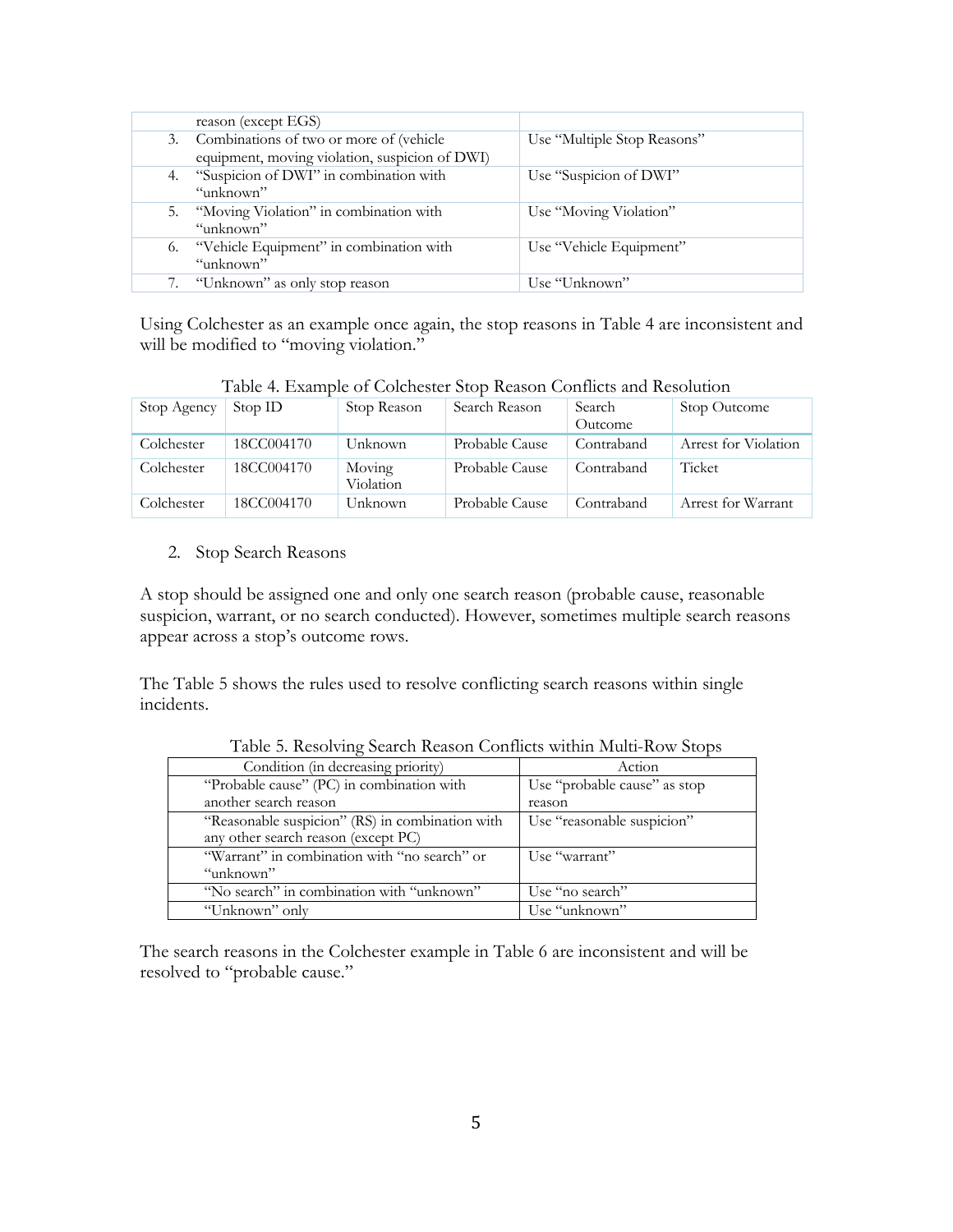|    | reason (except EGS)                                                                          |                             |
|----|----------------------------------------------------------------------------------------------|-----------------------------|
|    | 3. Combinations of two or more of (vehicle<br>equipment, moving violation, suspicion of DWI) | Use "Multiple Stop Reasons" |
|    | 4. "Suspicion of DWI" in combination with<br>"unknown"                                       | Use "Suspicion of DWI"      |
|    | 5. "Moving Violation" in combination with<br>"unknown"                                       | Use "Moving Violation"      |
| 6. | "Vehicle Equipment" in combination with<br>"unknown"                                         | Use "Vehicle Equipment"     |
|    | "Unknown" as only stop reason                                                                | Use "Unknown"               |

Using Colchester as an example once again, the stop reasons in Table 4 are inconsistent and will be modified to "moving violation."

Table 4. Example of Colchester Stop Reason Conflicts and Resolution

| Stop Agency | Stop ID    | Stop Reason         | Search Reason  | Search<br>Outcome | Stop Outcome         |
|-------------|------------|---------------------|----------------|-------------------|----------------------|
| Colchester  | 18CC004170 | Unknown             | Probable Cause | Contraband        | Arrest for Violation |
| Colchester  | 18CC004170 | Moving<br>Violation | Probable Cause | Contraband        | Ticket               |
| Colchester  | 18CC004170 | Unknown             | Probable Cause | Contraband        | Arrest for Warrant   |

2. Stop Search Reasons

A stop should be assigned one and only one search reason (probable cause, reasonable suspicion, warrant, or no search conducted). However, sometimes multiple search reasons appear across a stop's outcome rows.

The Table 5 shows the rules used to resolve conflicting search reasons within single incidents.

| Condition (in decreasing priority)              | Action                       |
|-------------------------------------------------|------------------------------|
| "Probable cause" (PC) in combination with       | Use "probable cause" as stop |
| another search reason                           | reason                       |
| "Reasonable suspicion" (RS) in combination with | Use "reasonable suspicion"   |
| any other search reason (except PC)             |                              |
| "Warrant" in combination with "no search" or    | Use "warrant"                |
| "unknown"                                       |                              |
| "No search" in combination with "unknown"       | Use "no search"              |
| "Unknown" only                                  | Use "unknown"                |

Table 5. Resolving Search Reason Conflicts within Multi-Row Stops

The search reasons in the Colchester example in Table 6 are inconsistent and will be resolved to "probable cause."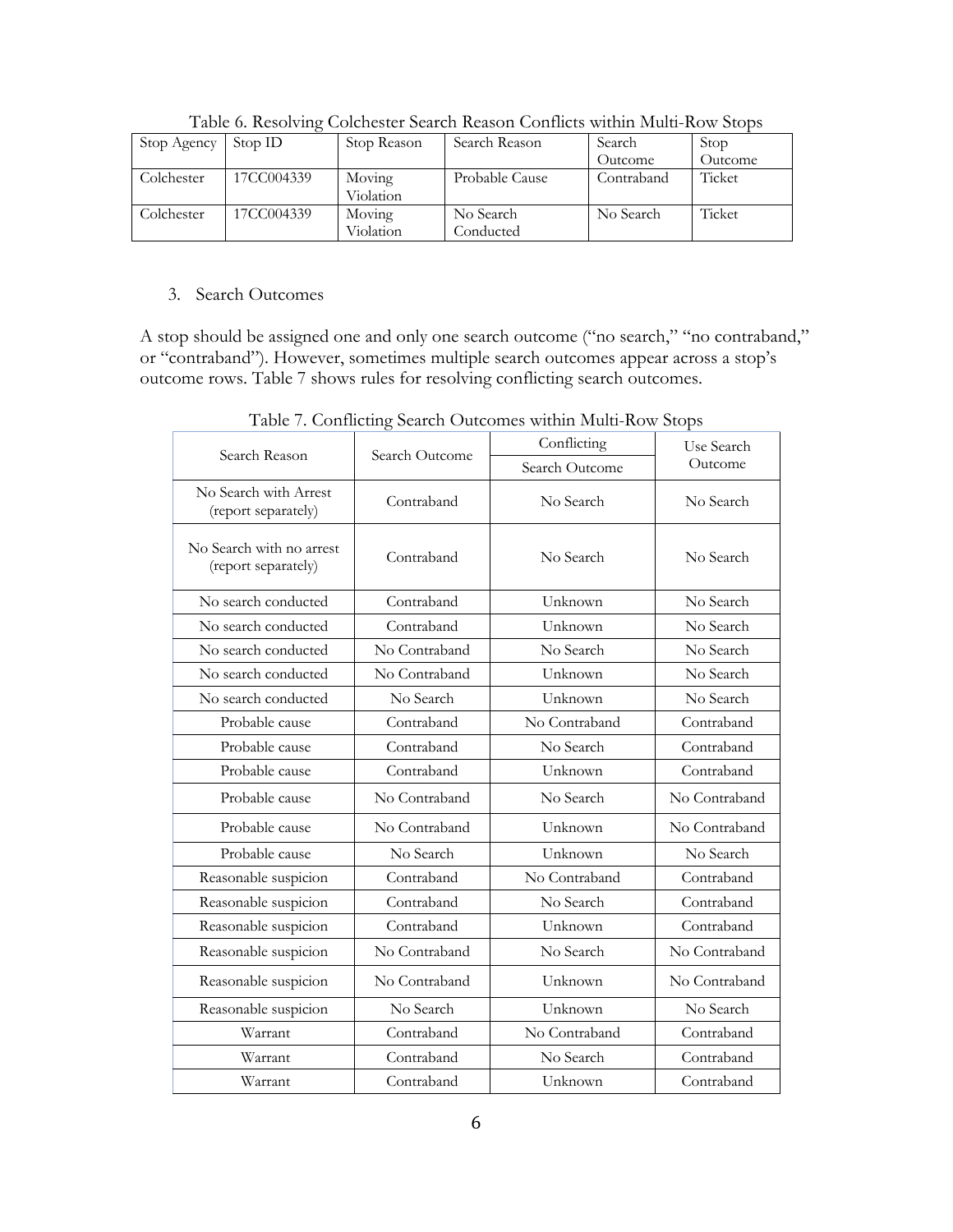| Stop Agency | Stop ID    | Stop Reason | Search Reason  | Search     | Stop    |
|-------------|------------|-------------|----------------|------------|---------|
|             |            |             |                | Outcome    | Outcome |
| Colchester  | 17CC004339 | Moving      | Probable Cause | Contraband | Ticket  |
|             |            | Violation   |                |            |         |
| Colchester  | 17CC004339 | Moving      | No Search      | No Search  | Ticket  |
|             |            | Violation   | Conducted      |            |         |

Table 6. Resolving Colchester Search Reason Conflicts within Multi-Row Stops

#### 3. Search Outcomes

A stop should be assigned one and only one search outcome ("no search," "no contraband," or "contraband"). However, sometimes multiple search outcomes appear across a stop's outcome rows. Table 7 shows rules for resolving conflicting search outcomes.

| Search Reason                                   | Search Outcome | Conflicting    | Use Search    |  |
|-------------------------------------------------|----------------|----------------|---------------|--|
|                                                 |                | Search Outcome | Outcome       |  |
| No Search with Arrest<br>(report separately)    | Contraband     | No Search      | No Search     |  |
| No Search with no arrest<br>(report separately) | Contraband     | No Search      | No Search     |  |
| No search conducted                             | Contraband     | Unknown        | No Search     |  |
| No search conducted                             | Contraband     | Unknown        | No Search     |  |
| No search conducted                             | No Contraband  | No Search      | No Search     |  |
| No search conducted                             | No Contraband  | Unknown        | No Search     |  |
| No search conducted                             | No Search      | Unknown        | No Search     |  |
| Probable cause                                  | Contraband     | No Contraband  | Contraband    |  |
| Probable cause                                  | Contraband     | No Search      | Contraband    |  |
| Probable cause                                  | Contraband     | Unknown        | Contraband    |  |
| Probable cause                                  | No Contraband  | No Search      | No Contraband |  |
| Probable cause                                  | No Contraband  | Unknown        | No Contraband |  |
| Probable cause                                  | No Search      | Unknown        | No Search     |  |
| Reasonable suspicion                            | Contraband     | No Contraband  | Contraband    |  |
| Reasonable suspicion                            | Contraband     | No Search      | Contraband    |  |
| Reasonable suspicion                            | Contraband     | Unknown        | Contraband    |  |
| Reasonable suspicion                            | No Contraband  | No Search      | No Contraband |  |
| Reasonable suspicion                            | No Contraband  | Unknown        | No Contraband |  |
| Reasonable suspicion                            | No Search      | Unknown        | No Search     |  |
| Warrant                                         | Contraband     | No Contraband  | Contraband    |  |
| Warrant                                         | Contraband     | No Search      | Contraband    |  |
| Warrant                                         | Contraband     | Unknown        | Contraband    |  |

Table 7. Conflicting Search Outcomes within Multi-Row Stops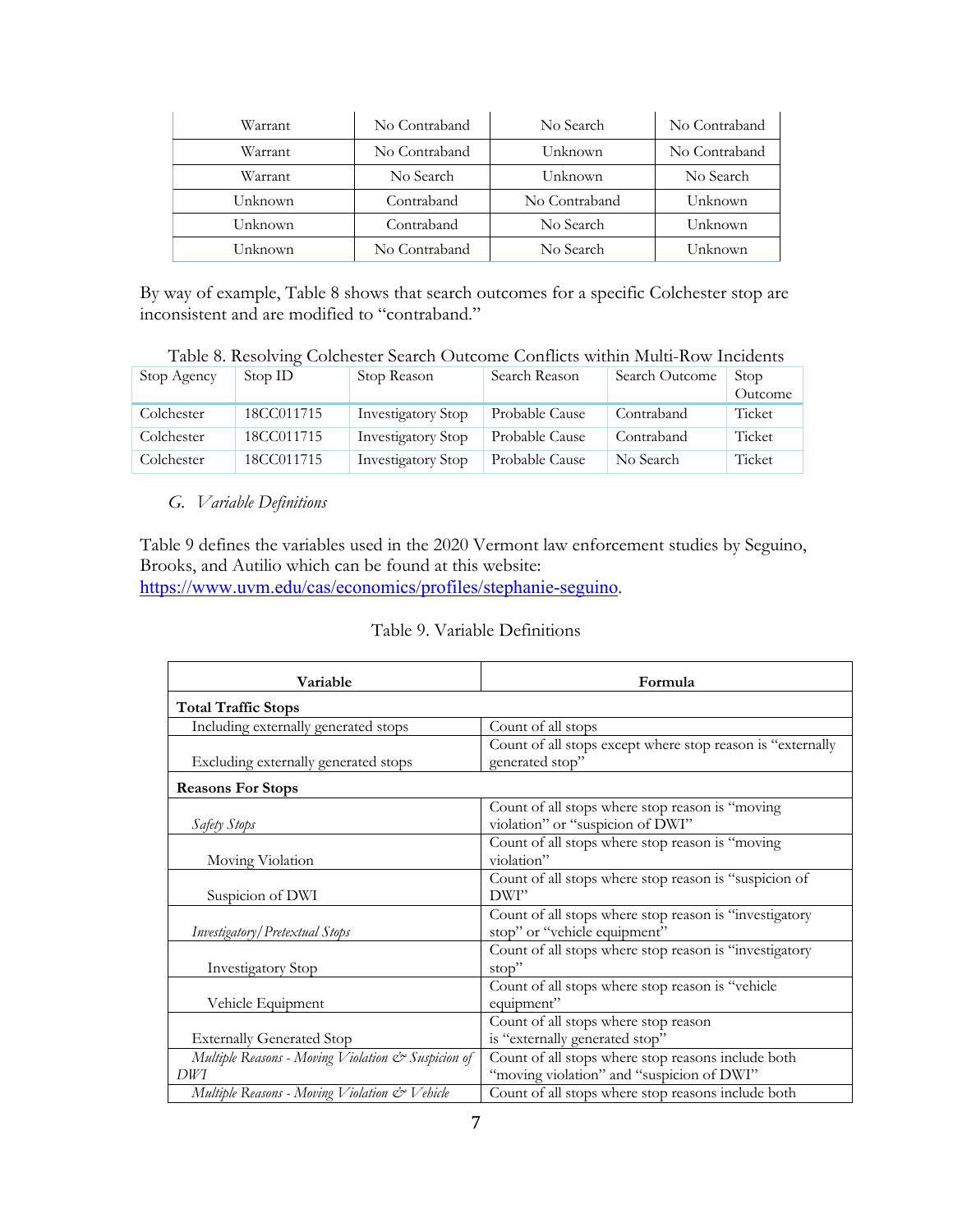| Warrant | No Contraband | No Search     | No Contraband |
|---------|---------------|---------------|---------------|
| Warrant | No Contraband | Unknown       | No Contraband |
| Warrant | No Search     | Unknown       | No Search     |
| Unknown | Contraband    | No Contraband | Unknown       |
| Unknown | Contraband    | No Search     | Unknown       |
| Unknown | No Contraband | No Search     | Unknown       |

By way of example, Table 8 shows that search outcomes for a specific Colchester stop are inconsistent and are modified to "contraband."

| Table 8. Resolving Colchester Search Outcome Conflicts within Multi-Row Incidents |  |  |  |
|-----------------------------------------------------------------------------------|--|--|--|
|                                                                                   |  |  |  |

| Stop Agency | Stop ID    | Stop Reason               | Search Reason  | Search Outcome | Stop<br>Outcome |
|-------------|------------|---------------------------|----------------|----------------|-----------------|
| Colchester  | 18CC011715 | <b>Investigatory Stop</b> | Probable Cause | Contraband     | Ticket          |
| Colchester  | 18CC011715 | <b>Investigatory Stop</b> | Probable Cause | Contraband     | Ticket          |
| Colchester  | 18CC011715 | <b>Investigatory Stop</b> | Probable Cause | No Search      | Ticket          |

#### *G. Variable Definitions*

Table 9 defines the variables used in the 2020 Vermont law enforcement studies by Seguino, Brooks, and Autilio which can be found at this website: https://www.uvm.edu/cas/economics/profiles/stephanie-seguino.

#### Table 9. Variable Definitions

| Variable                                           | Formula                                                    |
|----------------------------------------------------|------------------------------------------------------------|
| <b>Total Traffic Stops</b>                         |                                                            |
| Including externally generated stops               | Count of all stops                                         |
|                                                    | Count of all stops except where stop reason is "externally |
| Excluding externally generated stops               | generated stop"                                            |
| <b>Reasons For Stops</b>                           |                                                            |
|                                                    | Count of all stops where stop reason is "moving            |
| Safety Stops                                       | violation" or "suspicion of DWI"                           |
|                                                    | Count of all stops where stop reason is "moving            |
| Moving Violation                                   | violation"                                                 |
|                                                    | Count of all stops where stop reason is "suspicion of      |
| Suspicion of DWI                                   | DWI"                                                       |
|                                                    | Count of all stops where stop reason is "investigatory     |
| Investigatory/Pretextual Stops                     | stop" or "vehicle equipment"                               |
|                                                    | Count of all stops where stop reason is "investigatory     |
| Investigatory Stop                                 | stop"                                                      |
|                                                    | Count of all stops where stop reason is "vehicle           |
| Vehicle Equipment                                  | equipment"                                                 |
|                                                    | Count of all stops where stop reason                       |
| <b>Externally Generated Stop</b>                   | is "externally generated stop"                             |
| Multiple Reasons - Moving Violation & Suspicion of | Count of all stops where stop reasons include both         |
| DWI                                                | "moving violation" and "suspicion of DWI"                  |
| Multiple Reasons - Moving Violation & Vehicle      | Count of all stops where stop reasons include both         |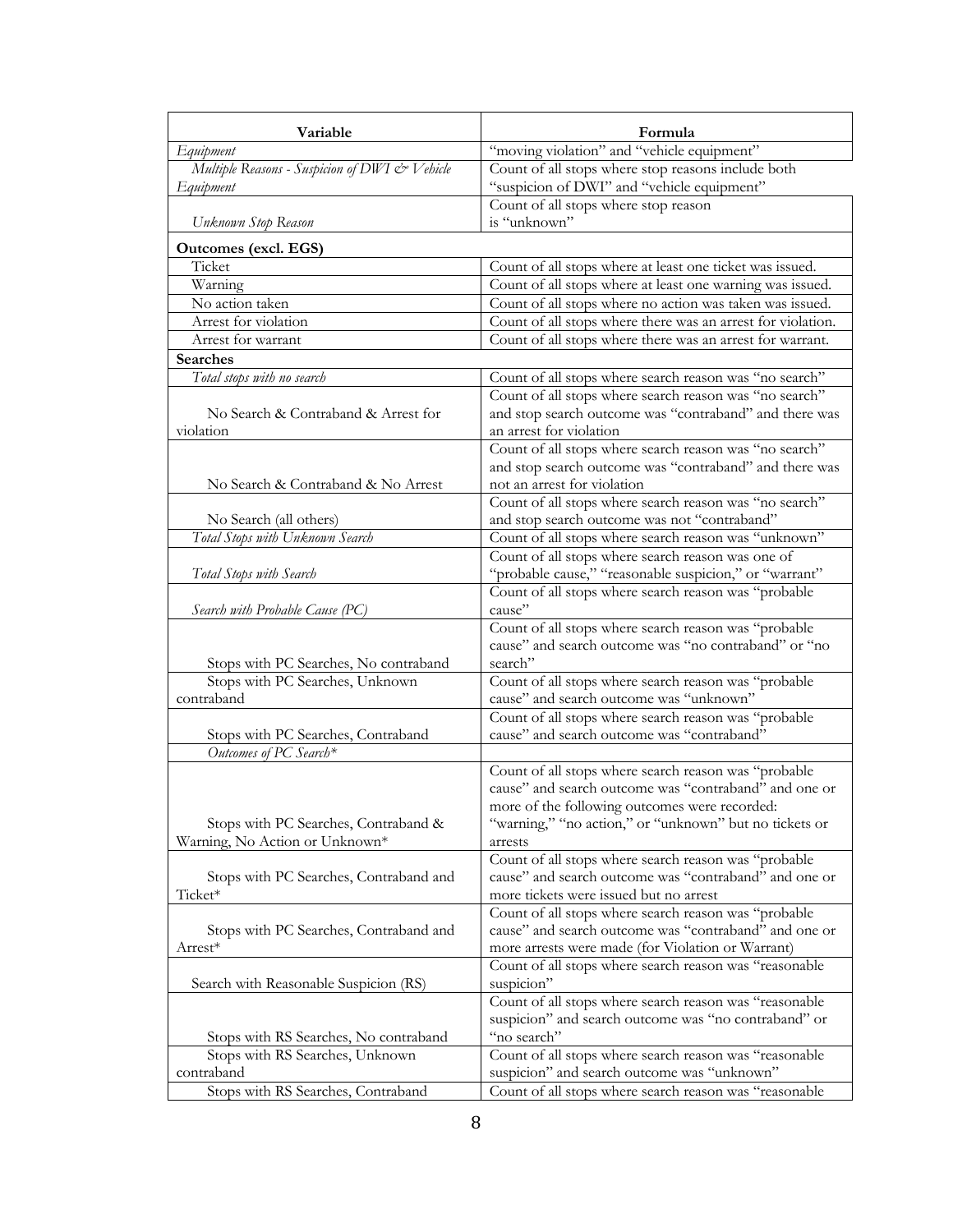| Variable                                                               | Formula                                                                                                |
|------------------------------------------------------------------------|--------------------------------------------------------------------------------------------------------|
| Equipment                                                              | "moving violation" and "vehicle equipment"                                                             |
| Multiple Reasons - Suspicion of DWI & Vehicle                          | Count of all stops where stop reasons include both                                                     |
| Equipment                                                              | "suspicion of DWI" and "vehicle equipment"                                                             |
|                                                                        | Count of all stops where stop reason                                                                   |
| Unknown Stop Reason                                                    | is "unknown"                                                                                           |
| <b>Outcomes (excl. EGS)</b>                                            |                                                                                                        |
| Ticket                                                                 | Count of all stops where at least one ticket was issued.                                               |
| Warning                                                                | Count of all stops where at least one warning was issued.                                              |
| No action taken                                                        | Count of all stops where no action was taken was issued.                                               |
| Arrest for violation                                                   | Count of all stops where there was an arrest for violation.                                            |
| Arrest for warrant                                                     | Count of all stops where there was an arrest for warrant.                                              |
| Searches                                                               |                                                                                                        |
| Total stops with no search                                             | Count of all stops where search reason was "no search"                                                 |
|                                                                        | Count of all stops where search reason was "no search"                                                 |
| No Search & Contraband & Arrest for                                    | and stop search outcome was "contraband" and there was                                                 |
| violation                                                              | an arrest for violation                                                                                |
|                                                                        | Count of all stops where search reason was "no search"                                                 |
|                                                                        | and stop search outcome was "contraband" and there was<br>not an arrest for violation                  |
| No Search & Contraband & No Arrest                                     |                                                                                                        |
| No Search (all others)                                                 | Count of all stops where search reason was "no search"<br>and stop search outcome was not "contraband" |
| Total Stops with Unknown Search                                        | Count of all stops where search reason was "unknown"                                                   |
|                                                                        | Count of all stops where search reason was one of                                                      |
| Total Stops with Search                                                | "probable cause," "reasonable suspicion," or "warrant"                                                 |
|                                                                        | Count of all stops where search reason was "probable                                                   |
| Search with Probable Cause (PC)                                        | cause"                                                                                                 |
|                                                                        | Count of all stops where search reason was "probable                                                   |
|                                                                        | cause" and search outcome was "no contraband" or "no                                                   |
| Stops with PC Searches, No contraband                                  | search"                                                                                                |
| Stops with PC Searches, Unknown                                        | Count of all stops where search reason was "probable                                                   |
| contraband                                                             | cause" and search outcome was "unknown"                                                                |
|                                                                        | Count of all stops where search reason was "probable                                                   |
| Stops with PC Searches, Contraband                                     | cause" and search outcome was "contraband"                                                             |
| Outcomes of PC Search*                                                 |                                                                                                        |
|                                                                        | Count of all stops where search reason was "probable                                                   |
|                                                                        | cause" and search outcome was "contraband" and one or                                                  |
|                                                                        | more of the following outcomes were recorded:                                                          |
| Stops with PC Searches, Contraband &<br>Warning, No Action or Unknown* | "warning," "no action," or "unknown" but no tickets or                                                 |
|                                                                        | arrests<br>Count of all stops where search reason was "probable                                        |
| Stops with PC Searches, Contraband and                                 | cause" and search outcome was "contraband" and one or                                                  |
| Ticket*                                                                | more tickets were issued but no arrest                                                                 |
|                                                                        | Count of all stops where search reason was "probable                                                   |
| Stops with PC Searches, Contraband and                                 | cause" and search outcome was "contraband" and one or                                                  |
| Arrest*                                                                | more arrests were made (for Violation or Warrant)                                                      |
|                                                                        | Count of all stops where search reason was "reasonable                                                 |
| Search with Reasonable Suspicion (RS)                                  | suspicion"                                                                                             |
|                                                                        | Count of all stops where search reason was "reasonable                                                 |
|                                                                        | suspicion" and search outcome was "no contraband" or                                                   |
| Stops with RS Searches, No contraband                                  | "no search"                                                                                            |
| Stops with RS Searches, Unknown                                        | Count of all stops where search reason was "reasonable                                                 |
| contraband                                                             | suspicion" and search outcome was "unknown"                                                            |
| Stops with RS Searches, Contraband                                     | Count of all stops where search reason was "reasonable                                                 |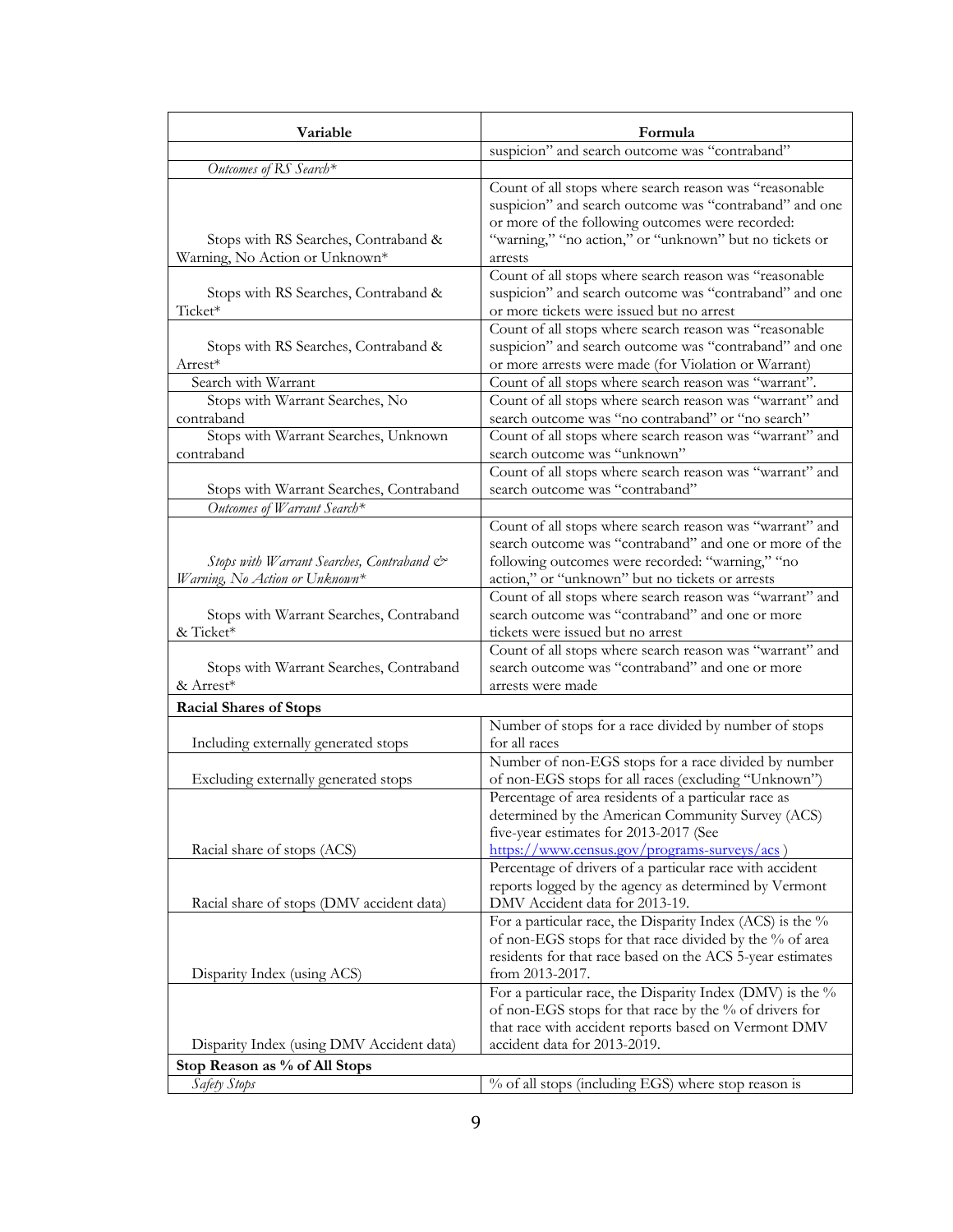| Variable                                                                    | Formula                                                                                                                                                                                                                                   |
|-----------------------------------------------------------------------------|-------------------------------------------------------------------------------------------------------------------------------------------------------------------------------------------------------------------------------------------|
|                                                                             | suspicion" and search outcome was "contraband"                                                                                                                                                                                            |
| Outcomes of RS Search*                                                      |                                                                                                                                                                                                                                           |
| Stops with RS Searches, Contraband &<br>Warning, No Action or Unknown*      | Count of all stops where search reason was "reasonable<br>suspicion" and search outcome was "contraband" and one<br>or more of the following outcomes were recorded:<br>"warning," "no action," or "unknown" but no tickets or<br>arrests |
| Stops with RS Searches, Contraband &<br>Ticket*                             | Count of all stops where search reason was "reasonable<br>suspicion" and search outcome was "contraband" and one<br>or more tickets were issued but no arrest                                                                             |
| Stops with RS Searches, Contraband &<br>Arrest*                             | Count of all stops where search reason was "reasonable<br>suspicion" and search outcome was "contraband" and one<br>or more arrests were made (for Violation or Warrant)                                                                  |
| Search with Warrant                                                         | Count of all stops where search reason was "warrant".                                                                                                                                                                                     |
| Stops with Warrant Searches, No<br>contraband                               | Count of all stops where search reason was "warrant" and<br>search outcome was "no contraband" or "no search"                                                                                                                             |
| Stops with Warrant Searches, Unknown<br>contraband                          | Count of all stops where search reason was "warrant" and<br>search outcome was "unknown"                                                                                                                                                  |
| Stops with Warrant Searches, Contraband                                     | Count of all stops where search reason was "warrant" and<br>search outcome was "contraband"                                                                                                                                               |
| Outcomes of Warrant Search*                                                 |                                                                                                                                                                                                                                           |
| Stops with Warrant Searches, Contraband &<br>Warning, No Action or Unknown* | Count of all stops where search reason was "warrant" and<br>search outcome was "contraband" and one or more of the<br>following outcomes were recorded: "warning," "no<br>action," or "unknown" but no tickets or arrests                 |
| Stops with Warrant Searches, Contraband<br>& Ticket*                        | Count of all stops where search reason was "warrant" and<br>search outcome was "contraband" and one or more<br>tickets were issued but no arrest                                                                                          |
| Stops with Warrant Searches, Contraband<br>& Arrest*                        | Count of all stops where search reason was "warrant" and<br>search outcome was "contraband" and one or more<br>arrests were made                                                                                                          |
| <b>Racial Shares of Stops</b>                                               |                                                                                                                                                                                                                                           |
| Including externally generated stops                                        | Number of stops for a race divided by number of stops<br>for all races                                                                                                                                                                    |
| Excluding externally generated stops                                        | Number of non-EGS stops for a race divided by number<br>of non-EGS stops for all races (excluding "Unknown")                                                                                                                              |
| Racial share of stops (ACS)                                                 | Percentage of area residents of a particular race as<br>determined by the American Community Survey (ACS)<br>five-year estimates for 2013-2017 (See<br>https://www.census.gov/programs-surveys/acs)                                       |
| Racial share of stops (DMV accident data)                                   | Percentage of drivers of a particular race with accident<br>reports logged by the agency as determined by Vermont<br>DMV Accident data for 2013-19.                                                                                       |
| Disparity Index (using ACS)                                                 | For a particular race, the Disparity Index (ACS) is the %<br>of non-EGS stops for that race divided by the % of area<br>residents for that race based on the ACS 5-year estimates<br>from 2013-2017.                                      |
| Disparity Index (using DMV Accident data)                                   | For a particular race, the Disparity Index (DMV) is the %<br>of non-EGS stops for that race by the % of drivers for<br>that race with accident reports based on Vermont DMV<br>accident data for 2013-2019.                               |
| Stop Reason as % of All Stops                                               |                                                                                                                                                                                                                                           |
| Safety Stops                                                                | % of all stops (including EGS) where stop reason is                                                                                                                                                                                       |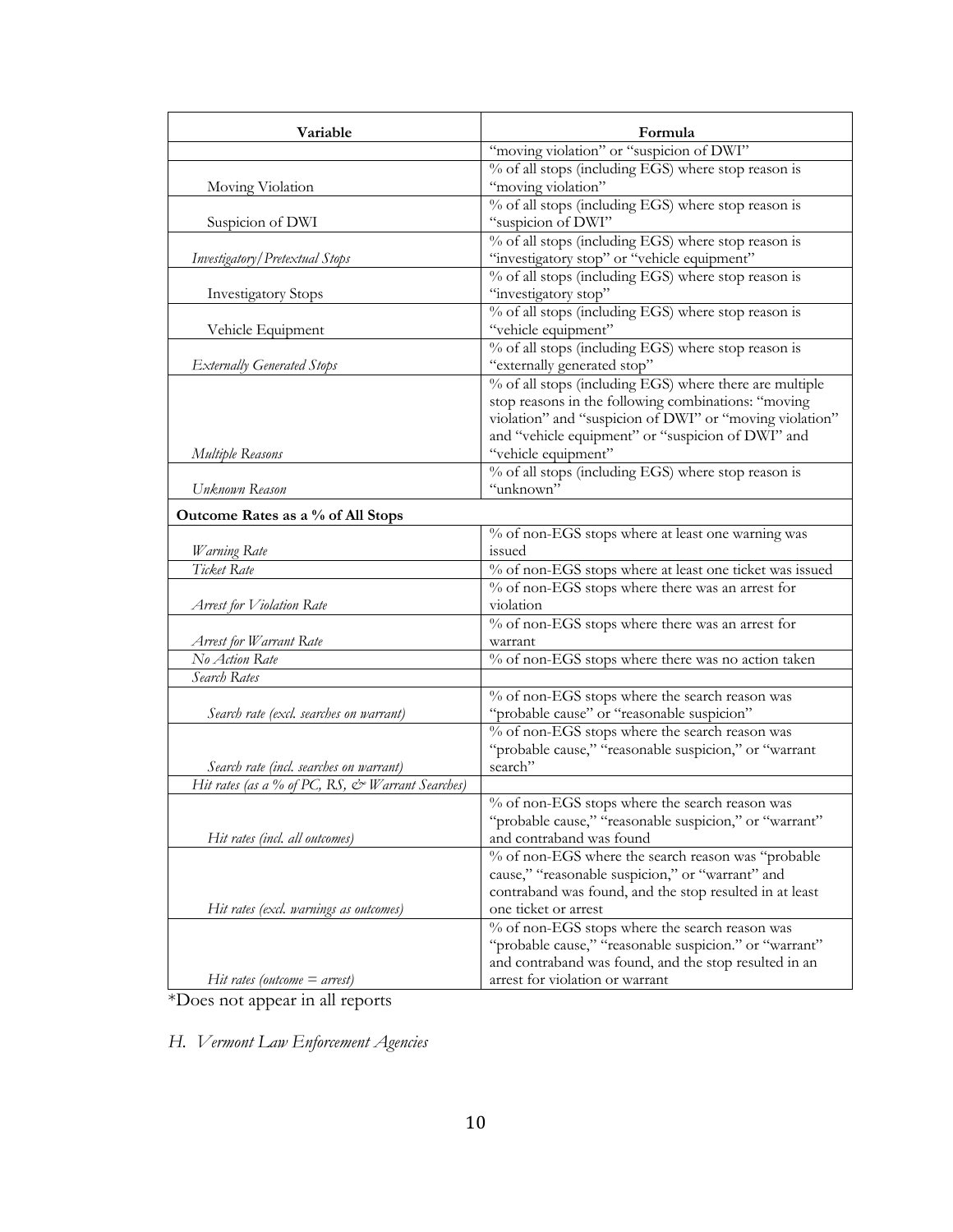| Variable                                         | Formula                                                                                                  |
|--------------------------------------------------|----------------------------------------------------------------------------------------------------------|
|                                                  | "moving violation" or "suspicion of DWI"                                                                 |
|                                                  | % of all stops (including EGS) where stop reason is                                                      |
| Moving Violation                                 | "moving violation"                                                                                       |
|                                                  | % of all stops (including EGS) where stop reason is                                                      |
| Suspicion of DWI                                 | "suspicion of DWI"                                                                                       |
|                                                  | % of all stops (including EGS) where stop reason is                                                      |
| Investigatory / Pretextual Stops                 | "investigatory stop" or "vehicle equipment"                                                              |
|                                                  | % of all stops (including EGS) where stop reason is                                                      |
| <b>Investigatory Stops</b>                       | "investigatory stop"                                                                                     |
|                                                  | % of all stops (including EGS) where stop reason is                                                      |
| Vehicle Equipment                                | "vehicle equipment"                                                                                      |
|                                                  | % of all stops (including EGS) where stop reason is                                                      |
| <b>Externally Generated Stops</b>                | "externally generated stop"                                                                              |
|                                                  | % of all stops (including EGS) where there are multiple                                                  |
|                                                  | stop reasons in the following combinations: "moving                                                      |
|                                                  | violation" and "suspicion of DWI" or "moving violation"                                                  |
|                                                  | and "vehicle equipment" or "suspicion of DWI" and                                                        |
| Multiple Reasons                                 | "vehicle equipment"                                                                                      |
|                                                  | % of all stops (including EGS) where stop reason is                                                      |
| Unknown Reason                                   | "unknown"                                                                                                |
| Outcome Rates as a % of All Stops                |                                                                                                          |
|                                                  | % of non-EGS stops where at least one warning was                                                        |
| Warning Rate                                     | issued                                                                                                   |
| Ticket Rate                                      | % of non-EGS stops where at least one ticket was issued                                                  |
|                                                  | % of non-EGS stops where there was an arrest for                                                         |
| Arrest for Violation Rate                        | violation                                                                                                |
|                                                  | % of non-EGS stops where there was an arrest for                                                         |
| Arrest for Warrant Rate                          | warrant                                                                                                  |
| No Action Rate                                   | % of non-EGS stops where there was no action taken                                                       |
| Search Rates                                     |                                                                                                          |
|                                                  | % of non-EGS stops where the search reason was                                                           |
| Search rate (excl. searches on warrant)          | "probable cause" or "reasonable suspicion"                                                               |
|                                                  | % of non-EGS stops where the search reason was                                                           |
|                                                  | "probable cause," "reasonable suspicion," or "warrant                                                    |
| Search rate (incl. searches on warrant)          | search"                                                                                                  |
| Hit rates (as a % of PC, RS, & Warrant Searches) |                                                                                                          |
|                                                  | % of non-EGS stops where the search reason was<br>"probable cause," "reasonable suspicion," or "warrant" |
| Hit rates (incl. all outcomes)                   | and contraband was found                                                                                 |
|                                                  | % of non-EGS where the search reason was "probable                                                       |
|                                                  | cause," "reasonable suspicion," or "warrant" and                                                         |
|                                                  | contraband was found, and the stop resulted in at least                                                  |
| Hit rates (excl. warnings as outcomes)           | one ticket or arrest                                                                                     |
|                                                  | % of non-EGS stops where the search reason was                                                           |
|                                                  | "probable cause," "reasonable suspicion." or "warrant"                                                   |
|                                                  | and contraband was found, and the stop resulted in an                                                    |
| Hit rates (outcome $=$ arrest)                   | arrest for violation or warrant                                                                          |

\*Does not appear in all reports

*H. Vermont Law Enforcement Agencies*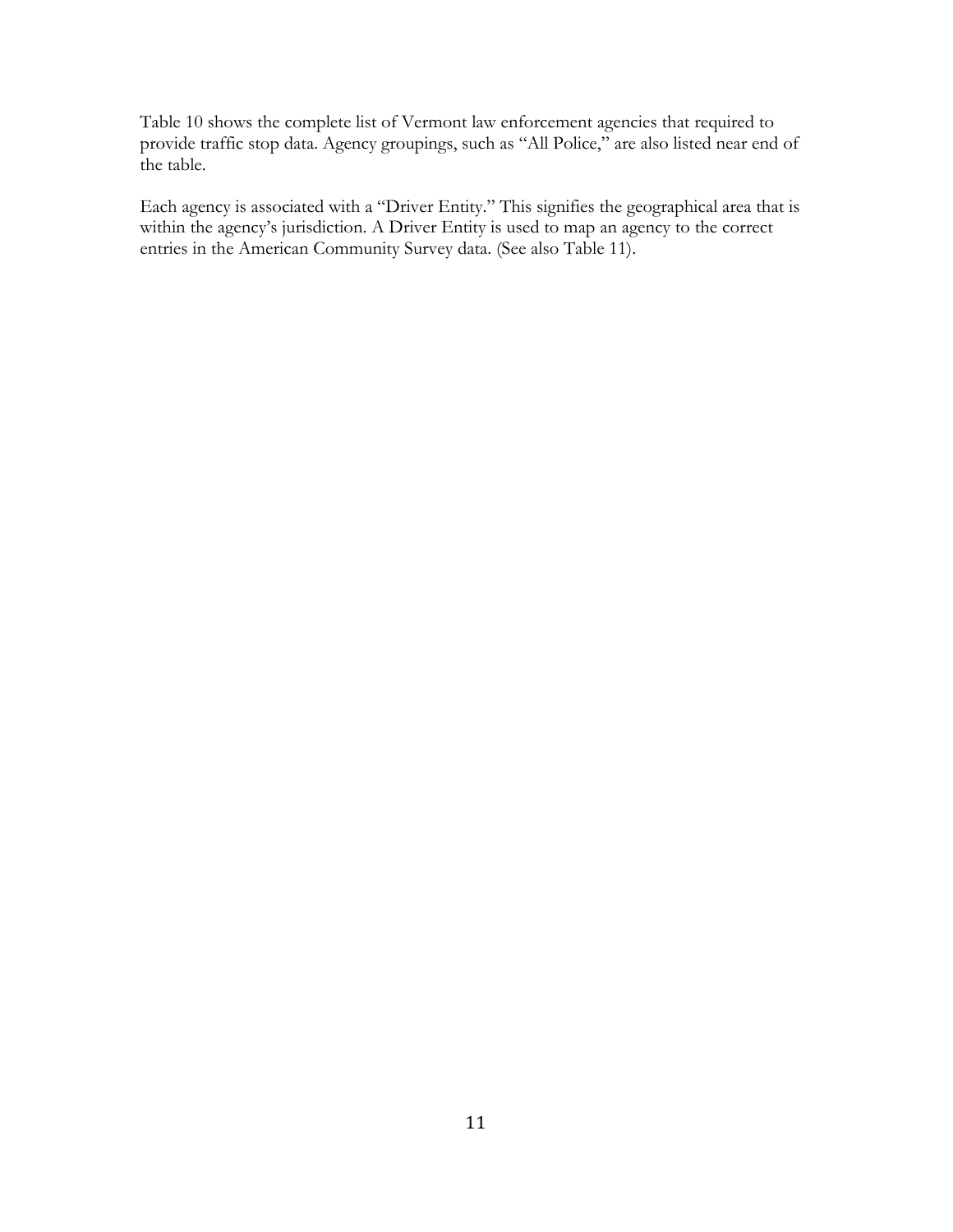Table 10 shows the complete list of Vermont law enforcement agencies that required to provide traffic stop data. Agency groupings, such as "All Police," are also listed near end of the table.

Each agency is associated with a "Driver Entity." This signifies the geographical area that is within the agency's jurisdiction. A Driver Entity is used to map an agency to the correct entries in the American Community Survey data. (See also Table 11).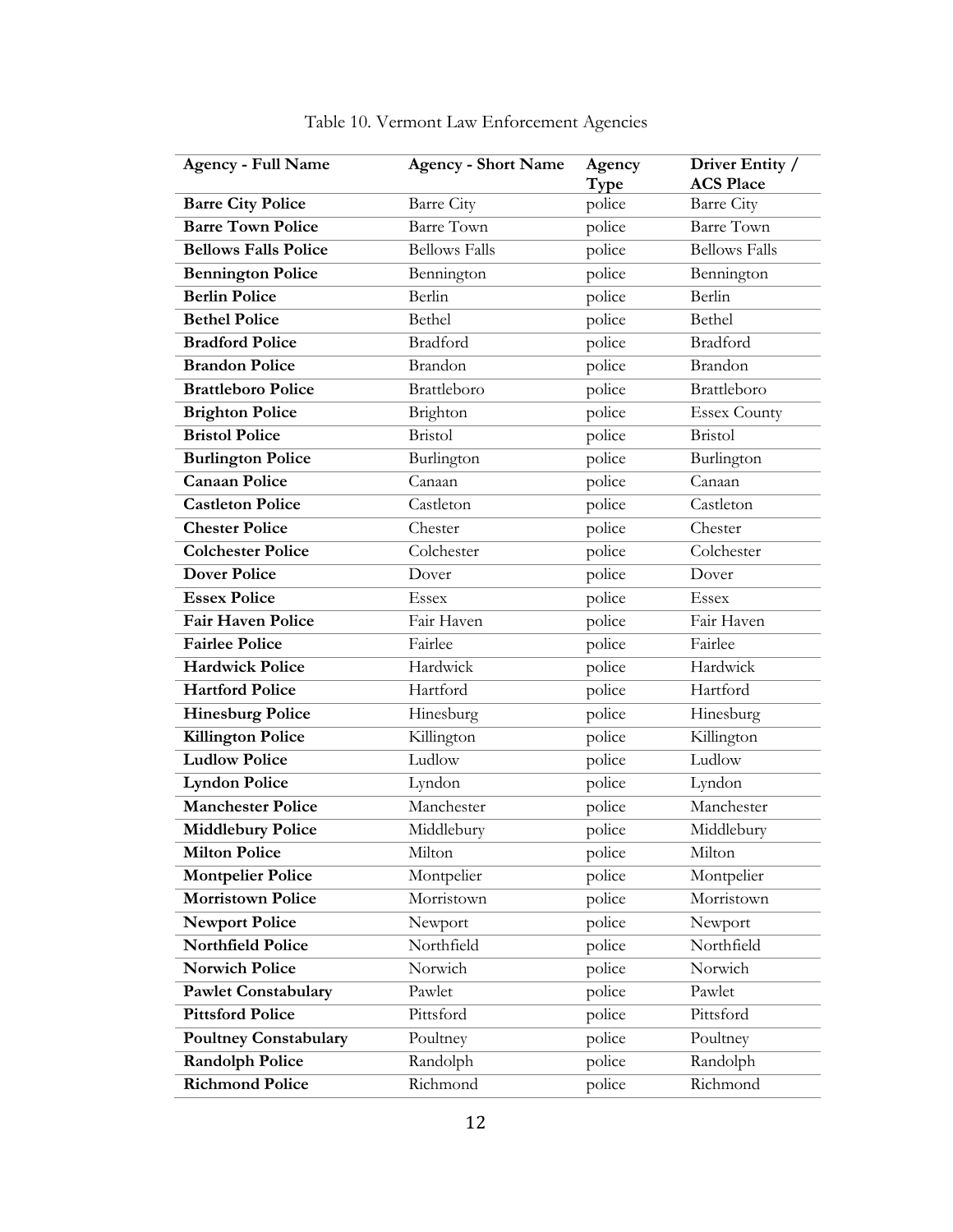| <b>Agency - Full Name</b>    | <b>Agency - Short Name</b> | Agency<br>Type | Driver Entity /<br><b>ACS Place</b> |
|------------------------------|----------------------------|----------------|-------------------------------------|
| <b>Barre City Police</b>     | <b>Barre City</b>          | police         | Barre City                          |
| <b>Barre Town Police</b>     | <b>Barre Town</b>          | police         | <b>Barre Town</b>                   |
| <b>Bellows Falls Police</b>  | <b>Bellows Falls</b>       | police         | <b>Bellows Falls</b>                |
| <b>Bennington Police</b>     | Bennington                 | police         | Bennington                          |
| <b>Berlin Police</b>         | Berlin                     | police         | Berlin                              |
| <b>Bethel Police</b>         | Bethel                     | police         | Bethel                              |
| <b>Bradford Police</b>       | Bradford                   | police         | Bradford                            |
| <b>Brandon Police</b>        | Brandon                    | police         | Brandon                             |
| <b>Brattleboro Police</b>    | Brattleboro                | police         | Brattleboro                         |
| <b>Brighton Police</b>       | Brighton                   | police         | <b>Essex County</b>                 |
| <b>Bristol Police</b>        | <b>Bristol</b>             | police         | <b>Bristol</b>                      |
| <b>Burlington Police</b>     | Burlington                 | police         | Burlington                          |
| <b>Canaan Police</b>         | Canaan                     | police         | Canaan                              |
| <b>Castleton Police</b>      | Castleton                  | police         | Castleton                           |
| <b>Chester Police</b>        | Chester                    | police         | Chester                             |
| <b>Colchester Police</b>     | Colchester                 | police         | Colchester                          |
| <b>Dover Police</b>          | Dover                      | police         | Dover                               |
| <b>Essex Police</b>          | <b>Essex</b>               | police         | <b>Essex</b>                        |
| <b>Fair Haven Police</b>     | Fair Haven                 | police         | Fair Haven                          |
| <b>Fairlee Police</b>        | Fairlee                    | police         | Fairlee                             |
| <b>Hardwick Police</b>       | Hardwick                   | police         | Hardwick                            |
| <b>Hartford Police</b>       | Hartford                   | police         | Hartford                            |
| <b>Hinesburg Police</b>      | Hinesburg                  | police         | Hinesburg                           |
| <b>Killington Police</b>     | Killington                 | police         | Killington                          |
| <b>Ludlow Police</b>         | Ludlow                     | police         | Ludlow                              |
| <b>Lyndon Police</b>         | Lyndon                     | police         | Lyndon                              |
| <b>Manchester Police</b>     | Manchester                 | police         | Manchester                          |
| <b>Middlebury Police</b>     | Middlebury                 | police         | Middlebury                          |
| <b>Milton Police</b>         | Milton                     | police         | Milton                              |
| <b>Montpelier Police</b>     | Montpelier                 | police         | Montpelier                          |
| <b>Morristown Police</b>     | Morristown                 | police         | Morristown                          |
| <b>Newport Police</b>        | Newport                    | police         | Newport                             |
| <b>Northfield Police</b>     | Northfield                 | police         | Northfield                          |
| <b>Norwich Police</b>        | Norwich                    | police         | Norwich                             |
| <b>Pawlet Constabulary</b>   | Pawlet                     | police         | Pawlet                              |
| <b>Pittsford Police</b>      | Pittsford                  | police         | Pittsford                           |
| <b>Poultney Constabulary</b> | Poultney                   | police         | Poultney                            |
| <b>Randolph Police</b>       | Randolph                   | police         | Randolph                            |
| <b>Richmond Police</b>       | Richmond                   | police         | Richmond                            |

|  | Table 10. Vermont Law Enforcement Agencies |  |
|--|--------------------------------------------|--|
|  |                                            |  |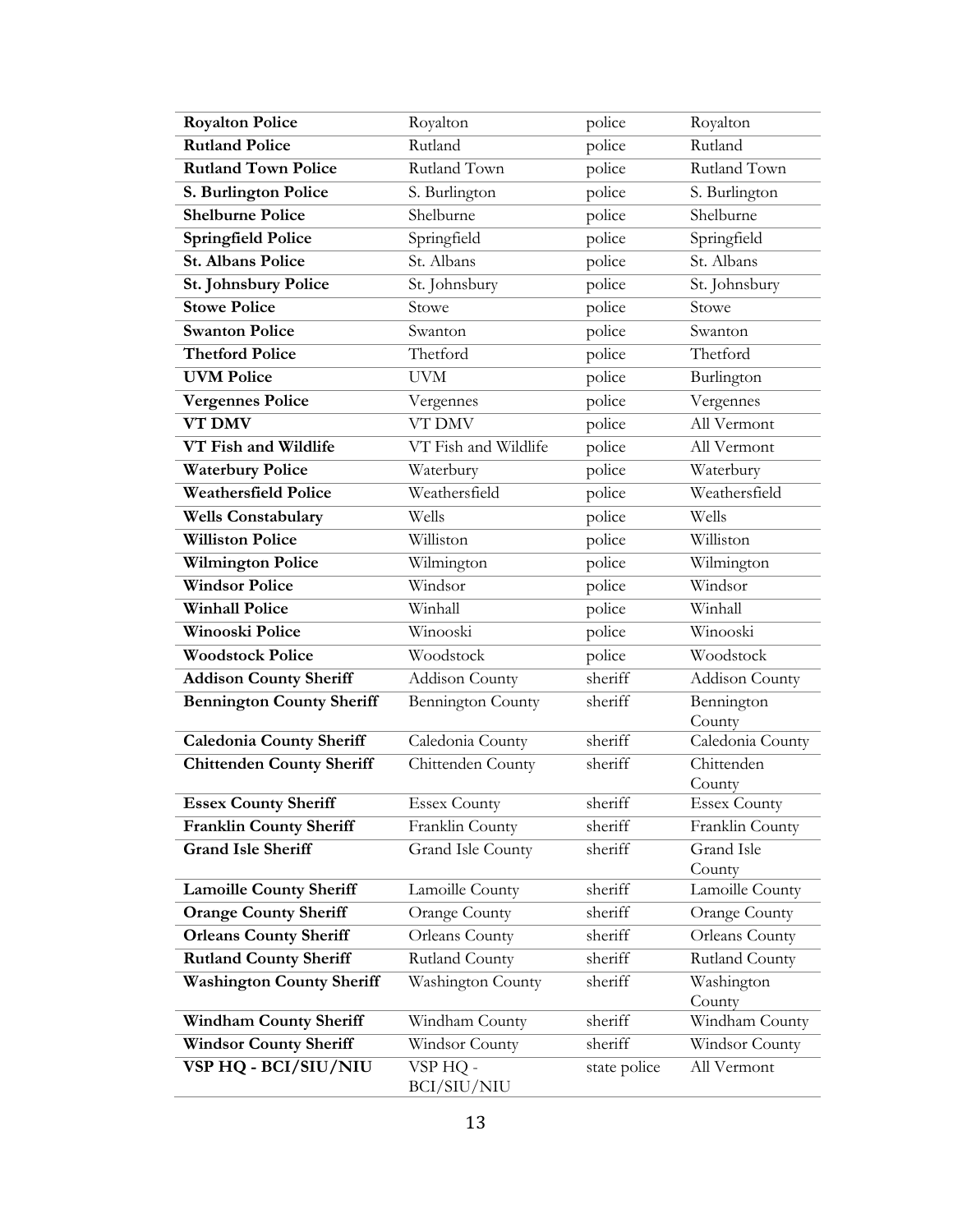| <b>Royalton Police</b>           | Royalton                | police       | Royalton              |
|----------------------------------|-------------------------|--------------|-----------------------|
| <b>Rutland Police</b>            | Rutland                 | police       | Rutland               |
| <b>Rutland Town Police</b>       | Rutland Town            | police       | Rutland Town          |
| S. Burlington Police             | S. Burlington           | police       | S. Burlington         |
| <b>Shelburne Police</b>          | Shelburne               | police       | Shelburne             |
| <b>Springfield Police</b>        | Springfield             | police       | Springfield           |
| <b>St. Albans Police</b>         | St. Albans              | police       | St. Albans            |
| St. Johnsbury Police             | St. Johnsbury           | police       | St. Johnsbury         |
| <b>Stowe Police</b>              | Stowe                   | police       | Stowe                 |
| <b>Swanton Police</b>            | Swanton                 | police       | Swanton               |
| <b>Thetford Police</b>           | Thetford                | police       | Thetford              |
| <b>UVM Police</b>                | <b>UVM</b>              | police       | Burlington            |
| <b>Vergennes Police</b>          | Vergennes               | police       | Vergennes             |
| <b>VT DMV</b>                    | <b>VT DMV</b>           | police       | All Vermont           |
| VT Fish and Wildlife             | VT Fish and Wildlife    | police       | All Vermont           |
| <b>Waterbury Police</b>          | Waterbury               | police       | Waterbury             |
| Weathersfield Police             | Weathersfield           | police       | Weathersfield         |
| <b>Wells Constabulary</b>        | Wells                   | police       | Wells                 |
| <b>Williston Police</b>          | Williston               | police       | Williston             |
| <b>Wilmington Police</b>         | Wilmington              | police       | Wilmington            |
| <b>Windsor Police</b>            | Windsor                 | police       | Windsor               |
| <b>Winhall Police</b>            | Winhall                 | police       | Winhall               |
| <b>Winooski Police</b>           | Winooski                | police       | Winooski              |
| <b>Woodstock Police</b>          | Woodstock               | police       | Woodstock             |
| <b>Addison County Sheriff</b>    | Addison County          | sheriff      | <b>Addison County</b> |
| <b>Bennington County Sheriff</b> | Bennington County       | sheriff      | Bennington<br>County  |
| <b>Caledonia County Sheriff</b>  | Caledonia County        | sheriff      | Caledonia County      |
| <b>Chittenden County Sheriff</b> | Chittenden County       | sheriff      | Chittenden            |
|                                  |                         |              | County                |
| <b>Essex County Sheriff</b>      | <b>Essex County</b>     | sheriff      | <b>Essex County</b>   |
| <b>Franklin County Sheriff</b>   | Franklin County         | sheriff      | Franklin County       |
| <b>Grand Isle Sheriff</b>        | Grand Isle County       | sheriff      | Grand Isle<br>County  |
| <b>Lamoille County Sheriff</b>   | Lamoille County         | sheriff      | Lamoille County       |
| <b>Orange County Sheriff</b>     | <b>Orange County</b>    | sheriff      | <b>Orange County</b>  |
| <b>Orleans County Sheriff</b>    | Orleans County          | sheriff      | Orleans County        |
| <b>Rutland County Sheriff</b>    | Rutland County          | sheriff      | Rutland County        |
| <b>Washington County Sheriff</b> | Washington County       | sheriff      | Washington            |
|                                  |                         |              | County                |
| <b>Windham County Sheriff</b>    | Windham County          | sheriff      | Windham County        |
| <b>Windsor County Sheriff</b>    | Windsor County          | sheriff      | Windsor County        |
| VSP HQ - BCI/SIU/NIU             | VSP HQ -<br>BCI/SIU/NIU | state police | All Vermont           |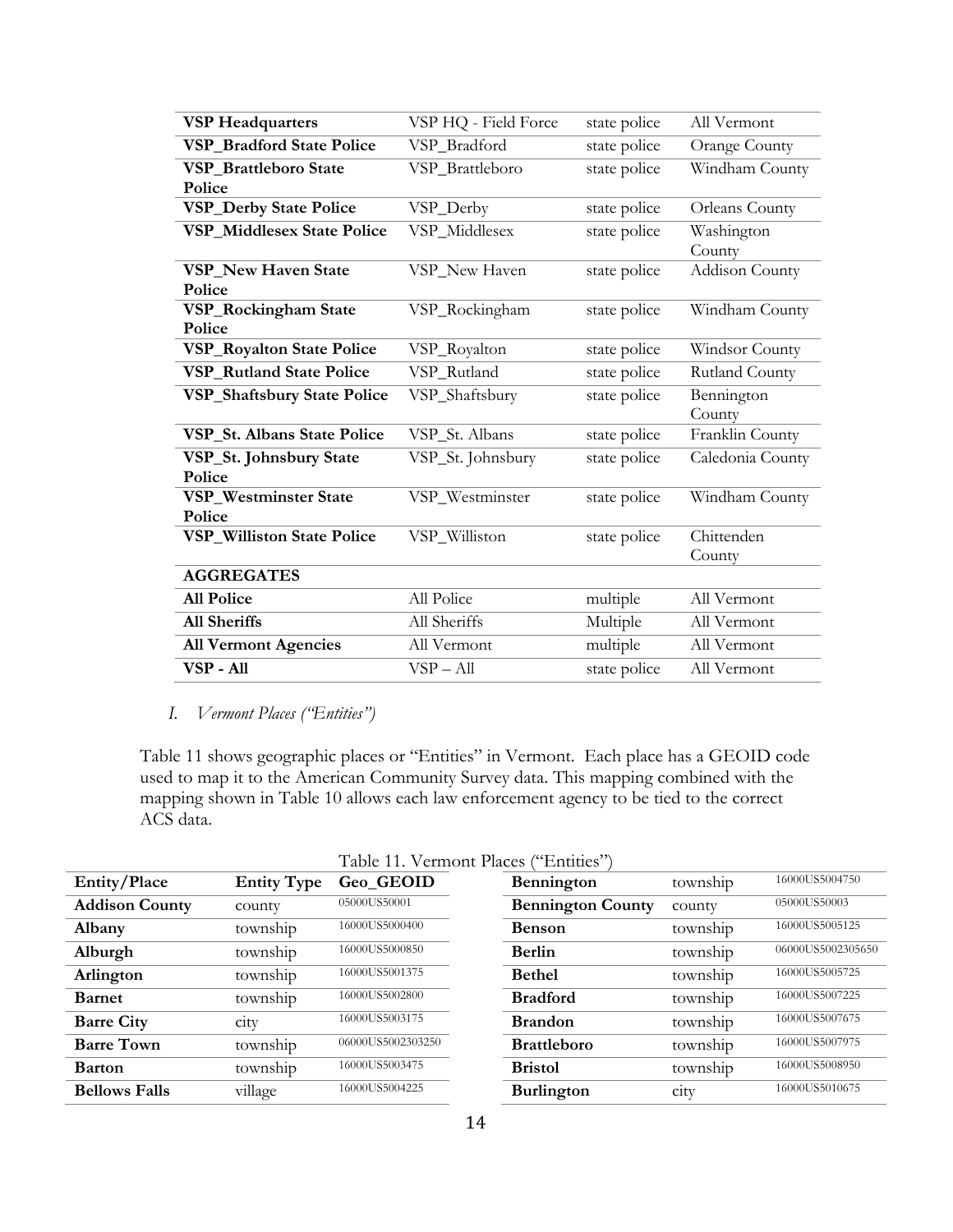| <b>VSP Headquarters</b>            | VSP HQ - Field Force | state police | All Vermont           |
|------------------------------------|----------------------|--------------|-----------------------|
| <b>VSP Bradford State Police</b>   | VSP_Bradford         | state police | <b>Orange County</b>  |
| VSP_Brattleboro State              | VSP_Brattleboro      | state police | Windham County        |
| Police                             |                      |              |                       |
| <b>VSP_Derby State Police</b>      | VSP_Derby            | state police | <b>Orleans County</b> |
| <b>VSP_Middlesex State Police</b>  | VSP_Middlesex        | state police | Washington            |
| <b>VSP New Haven State</b>         |                      |              | County                |
| Police                             | VSP_New Haven        | state police | Addison County        |
| VSP_Rockingham State               | VSP_Rockingham       | state police | Windham County        |
| Police                             |                      |              |                       |
| <b>VSP_Royalton State Police</b>   | VSP_Royalton         | state police | Windsor County        |
| <b>VSP Rutland State Police</b>    | VSP_Rutland          | state police | Rutland County        |
| <b>VSP_Shaftsbury State Police</b> | VSP_Shaftsbury       | state police | Bennington<br>County  |
| VSP_St. Albans State Police        | VSP_St. Albans       | state police | Franklin County       |
| VSP_St. Johnsbury State<br>Police  | VSP_St. Johnsbury    | state police | Caledonia County      |
| VSP_Westminster State              | VSP_Westminster      | state police | Windham County        |
| Police                             |                      |              |                       |
| <b>VSP_Williston State Police</b>  | VSP_Williston        | state police | Chittenden            |
|                                    |                      |              | County                |
| <b>AGGREGATES</b>                  |                      |              |                       |
| <b>All Police</b>                  | All Police           | multiple     | All Vermont           |
| <b>All Sheriffs</b>                | All Sheriffs         | Multiple     | All Vermont           |
| <b>All Vermont Agencies</b>        | All Vermont          | multiple     | All Vermont           |
| VSP-All                            | $VSP - All$          | state police | All Vermont           |

## *I. Vermont Places ("Entities")*

Table 11 shows geographic places or "Entities" in Vermont. Each place has a GEOID code used to map it to the American Community Survey data. This mapping combined with the mapping shown in Table 10 allows each law enforcement agency to be tied to the correct ACS data.

| Entity/Place          | <b>Entity Type</b> | Geo_GEOID         | Bennington               | township | 16000US5004750    |
|-----------------------|--------------------|-------------------|--------------------------|----------|-------------------|
| <b>Addison County</b> | county             | 05000US50001      | <b>Bennington County</b> | county   | 05000US50003      |
| Albany                | township           | 16000US5000400    | <b>Benson</b>            | township | 16000US5005125    |
| Alburgh               | township           | 16000US5000850    | <b>Berlin</b>            | township | 06000US5002305650 |
| Arlington             | township           | 16000US5001375    | <b>Bethel</b>            | township | 16000US5005725    |
| <b>Barnet</b>         | township           | 16000US5002800    | <b>Bradford</b>          | township | 16000US5007225    |
| <b>Barre City</b>     | cty                | 16000US5003175    | <b>Brandon</b>           | township | 16000US5007675    |
| <b>Barre Town</b>     | township           | 06000US5002303250 | <b>Brattleboro</b>       | township | 16000US5007975    |
| <b>Barton</b>         | township           | 16000US5003475    | <b>Bristol</b>           | township | 16000US5008950    |
| <b>Bellows Falls</b>  | village            | 16000US5004225    | <b>Burlington</b>        | ctv      | 16000US5010675    |

|  | Table 11. Vermont Places ("Entities") |
|--|---------------------------------------|
|--|---------------------------------------|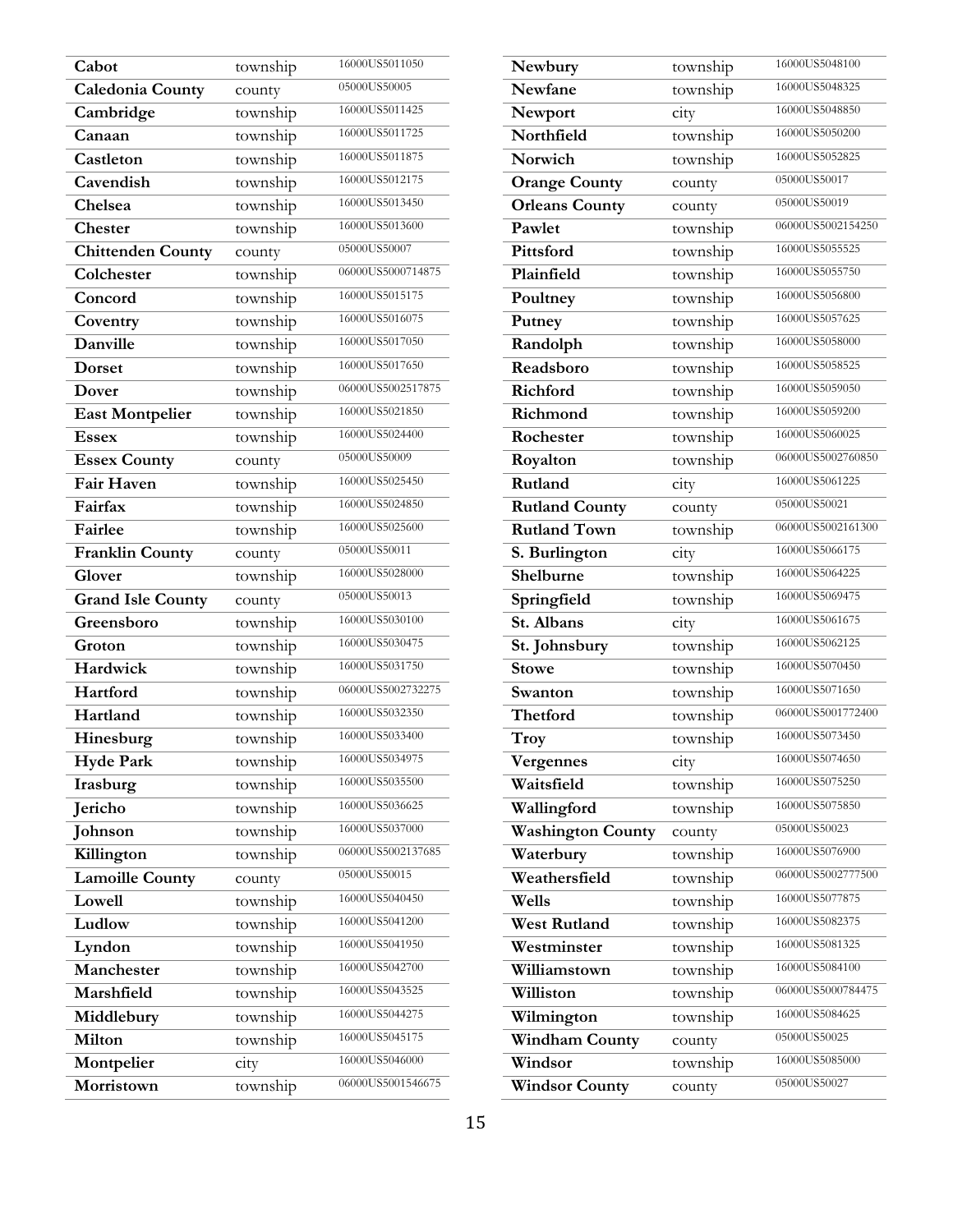| Cabot                    | township | 16000US5011050    |
|--------------------------|----------|-------------------|
| Caledonia County         | county   | 05000US50005      |
| Cambridge                | township | 16000US5011425    |
| Canaan                   | township | 16000US5011725    |
| Castleton                | township | 16000US5011875    |
| Cavendish                | township | 16000US5012175    |
| Chelsea                  | township | 16000US5013450    |
| Chester                  | township | 16000US5013600    |
| <b>Chittenden County</b> | county   | 05000US50007      |
| Colchester               | township | 06000US5000714875 |
| Concord                  | township | 16000US5015175    |
| Coventry                 | township | 16000US5016075    |
| Danville                 | township | 16000US5017050    |
| <b>Dorset</b>            | township | 16000US5017650    |
| Dover                    | township | 06000US5002517875 |
| <b>East Montpelier</b>   | township | 16000US5021850    |
| <b>Essex</b>             | township | 16000US5024400    |
| <b>Essex County</b>      | county   | 05000US50009      |
| <b>Fair Haven</b>        | township | 16000US5025450    |
| Fairfax                  | township | 16000US5024850    |
| Fairlee                  | township | 16000US5025600    |
| <b>Franklin County</b>   | county   | 05000US50011      |
| Glover                   | township | 16000US5028000    |
| <b>Grand Isle County</b> | county   | 05000US50013      |
| Greensboro               | township | 16000US5030100    |
| Groton                   | township | 16000US5030475    |
| Hardwick                 | township | 16000US5031750    |
| Hartford                 | township | 06000US5002732275 |
| Hartland                 | township | 16000US5032350    |
| Hinesburg                | township | 16000US5033400    |
| <b>Hyde Park</b>         | township | 16000US5034975    |
| Irasburg                 | township | 16000US5035500    |
| Jericho                  | township | 16000US5036625    |
| Johnson                  | township | 16000US5037000    |
| Killington               | township | 06000US5002137685 |
| <b>Lamoille County</b>   | county   | 05000US50015      |
| Lowell                   | township | 16000US5040450    |
| Ludlow                   | township | 16000US5041200    |
| Lyndon                   | township | 16000US5041950    |
| Manchester               | township | 16000US5042700    |
| Marshfield               | township | 16000US5043525    |
| Middlebury               | township | 16000US5044275    |
| Milton                   | township | 16000US5045175    |
| Montpelier               | city     | 16000US5046000    |
| Morristown               | township | 06000US5001546675 |

| Newbury                  | township | 16000US5048100    |
|--------------------------|----------|-------------------|
| Newfane                  | township | 16000US5048325    |
| Newport                  | city     | 16000US5048850    |
| Northfield               | township | 16000US5050200    |
| Norwich                  | township | 16000US5052825    |
| <b>Orange County</b>     | county   | 05000US50017      |
| <b>Orleans County</b>    | county   | 05000US50019      |
| Pawlet                   | township | 06000US5002154250 |
| Pittsford                | township | 16000US5055525    |
| Plainfield               | township | 16000US5055750    |
| Poultney                 | township | 16000US5056800    |
| Putney                   | township | 16000US5057625    |
| Randolph                 | township | 16000US5058000    |
| Readsboro                | township | 16000US5058525    |
| Richford                 | township | 16000US5059050    |
| Richmond                 | township | 16000US5059200    |
| Rochester                | township | 16000US5060025    |
| Royalton                 | township | 06000US5002760850 |
| Rutland                  | city     | 16000US5061225    |
| <b>Rutland County</b>    | county   | 05000US50021      |
| <b>Rutland Town</b>      | township | 06000US5002161300 |
| S. Burlington            | city     | 16000US5066175    |
| Shelburne                | township | 16000US5064225    |
| Springfield              | township | 16000US5069475    |
| St. Albans               | city     | 16000US5061675    |
| St. Johnsbury            | township | 16000US5062125    |
| <b>Stowe</b>             | township | 16000US5070450    |
| Swanton                  | township | 16000US5071650    |
| Thetford                 | township | 06000US5001772400 |
| Troy                     | township | 16000US5073450    |
| Vergennes                | city     | 16000US5074650    |
| Waitsfield               | township | 16000US5075250    |
| Wallingford              | township | 16000US5075850    |
| <b>Washington County</b> | county   | 05000US50023      |
| Waterbury                | township | 16000US5076900    |
| Weathersfield            | township | 06000US5002777500 |
| Wells                    | township | 16000US5077875    |
| <b>West Rutland</b>      | township | 16000US5082375    |
| Westminster              | township | 16000US5081325    |
| Williamstown             | township | 16000US5084100    |
| Williston                | township | 06000US5000784475 |
| Wilmington               | township | 16000US5084625    |
| <b>Windham County</b>    | county   | 05000US50025      |
| Windsor                  | township | 16000US5085000    |
| <b>Windsor County</b>    | county   | 05000US50027      |
|                          |          |                   |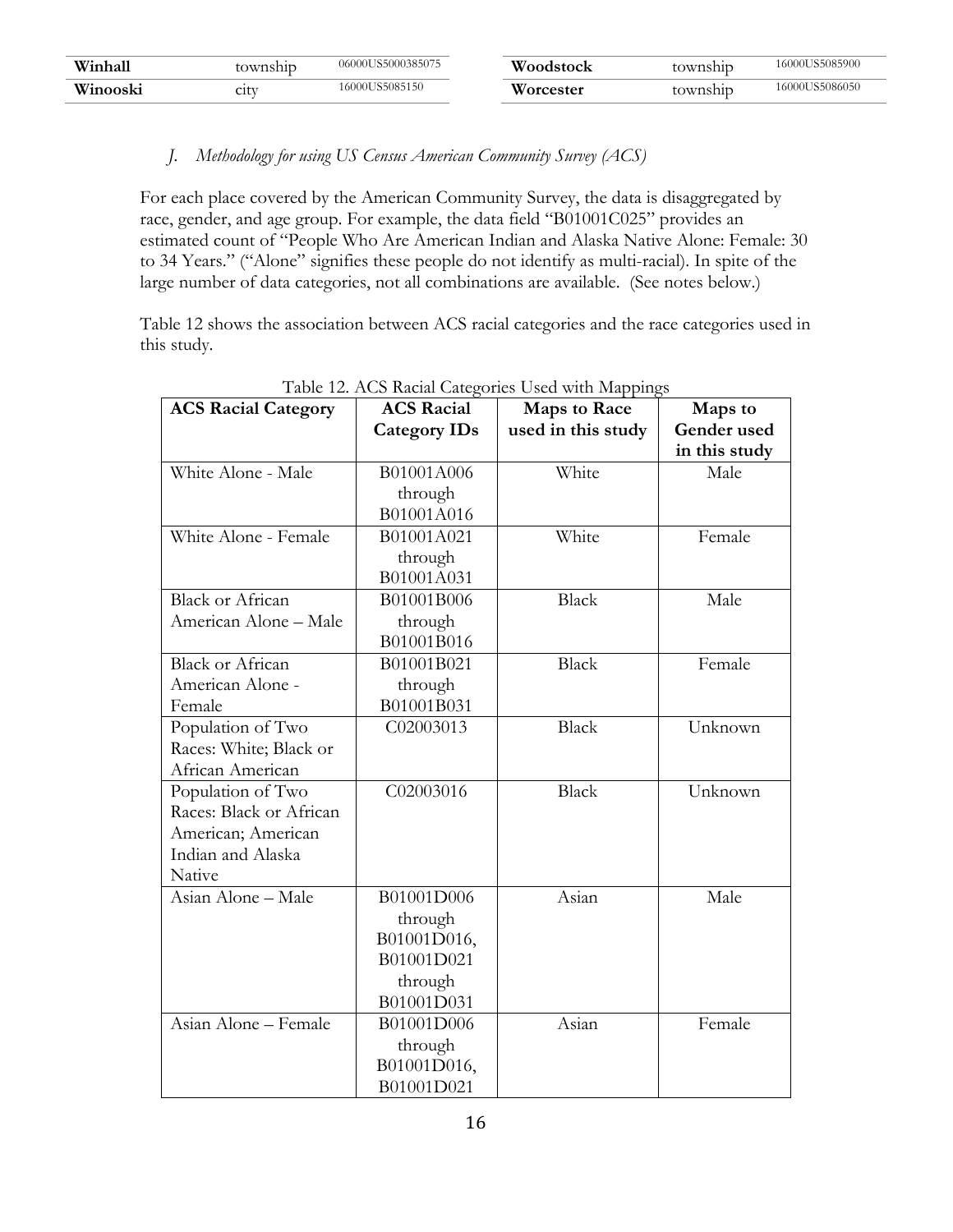| Winhal   | cownship | 06000US5000385075 | Woodstock       | township | 16000US5085900 |
|----------|----------|-------------------|-----------------|----------|----------------|
| Winooski | C1UV     | 16000US5085150    | <b>orcester</b> | township | 16000US5086050 |

### *J. Methodology for using US Census American Community Survey (ACS)*

For each place covered by the American Community Survey, the data is disaggregated by race, gender, and age group. For example, the data field "B01001C025" provides an estimated count of "People Who Are American Indian and Alaska Native Alone: Female: 30 to 34 Years." ("Alone" signifies these people do not identify as multi-racial). In spite of the large number of data categories, not all combinations are available. (See notes below.)

Table 12 shows the association between ACS racial categories and the race categories used in this study.

| <b>ACS Racial Category</b> | <b>ACS Racial</b>   | <b>Maps to Race</b> | Maps to       |
|----------------------------|---------------------|---------------------|---------------|
|                            | <b>Category IDs</b> | used in this study  | Gender used   |
|                            |                     |                     | in this study |
| White Alone - Male         | B01001A006          | White               | Male          |
|                            | through             |                     |               |
|                            | B01001A016          |                     |               |
| White Alone - Female       | B01001A021          | White               | Female        |
|                            | through             |                     |               |
|                            | B01001A031          |                     |               |
| <b>Black or African</b>    | B01001B006          | <b>Black</b>        | Male          |
| American Alone - Male      | through             |                     |               |
|                            | B01001B016          |                     |               |
| <b>Black or African</b>    | B01001B021          | <b>Black</b>        | Female        |
| American Alone -           | through             |                     |               |
| Female                     | B01001B031          |                     |               |
| Population of Two          | C02003013           | <b>Black</b>        | Unknown       |
| Races: White; Black or     |                     |                     |               |
| African American           |                     |                     |               |
| Population of Two          | C02003016           | <b>Black</b>        | Unknown       |
| Races: Black or African    |                     |                     |               |
| American; American         |                     |                     |               |
| Indian and Alaska          |                     |                     |               |
| Native                     |                     |                     |               |
| Asian Alone - Male         | B01001D006          | Asian               | Male          |
|                            | through             |                     |               |
|                            | B01001D016,         |                     |               |
|                            | B01001D021          |                     |               |
|                            | through             |                     |               |
|                            | B01001D031          |                     |               |
| Asian Alone - Female       | B01001D006          | Asian               | Female        |
|                            | through             |                     |               |
|                            | B01001D016,         |                     |               |
|                            | B01001D021          |                     |               |

Table 12. ACS Racial Categories Used with Mappings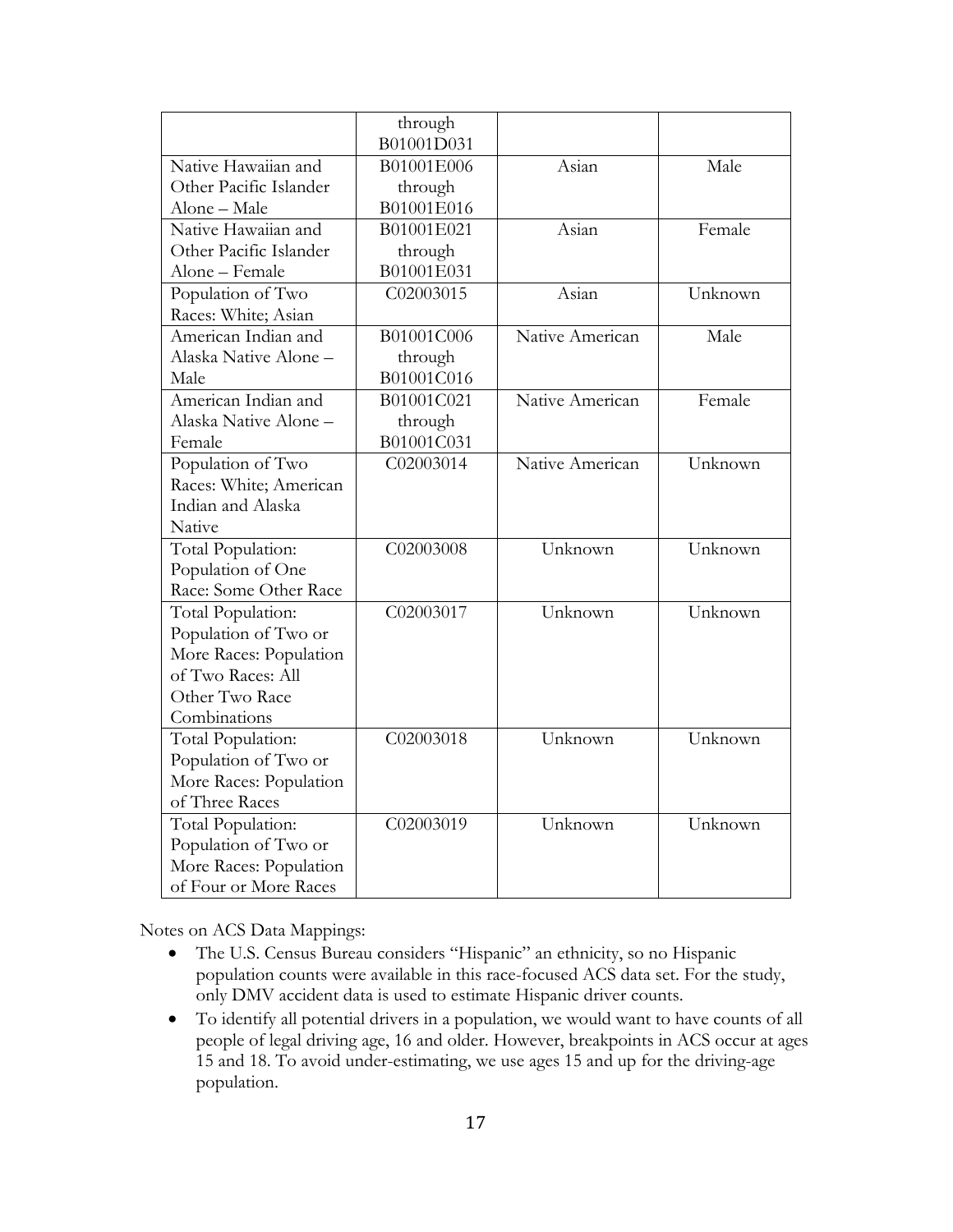|                        | through<br>B01001D031 |                 |         |
|------------------------|-----------------------|-----------------|---------|
| Native Hawaiian and    | B01001E006            | Asian           | Male    |
| Other Pacific Islander | through               |                 |         |
| Alone - Male           | B01001E016            |                 |         |
| Native Hawaiian and    | B01001E021            | Asian           | Female  |
| Other Pacific Islander | through               |                 |         |
| Alone – Female         | B01001E031            |                 |         |
| Population of Two      | C02003015             | Asian           | Unknown |
| Races: White; Asian    |                       |                 |         |
| American Indian and    | B01001C006            | Native American | Male    |
| Alaska Native Alone -  | through               |                 |         |
| Male                   | B01001C016            |                 |         |
| American Indian and    | B01001C021            | Native American | Female  |
| Alaska Native Alone -  |                       |                 |         |
| Female                 | through<br>B01001C031 |                 |         |
| Population of Two      | C02003014             | Native American | Unknown |
| Races: White; American |                       |                 |         |
| Indian and Alaska      |                       |                 |         |
| Native                 |                       |                 |         |
|                        | C02003008             | Unknown         | Unknown |
| Total Population:      |                       |                 |         |
| Population of One      |                       |                 |         |
| Race: Some Other Race  |                       |                 |         |
| Total Population:      | C02003017             | Unknown         | Unknown |
| Population of Two or   |                       |                 |         |
| More Races: Population |                       |                 |         |
| of Two Races: All      |                       |                 |         |
| Other Two Race         |                       |                 |         |
| Combinations           |                       |                 |         |
| Total Population:      | C02003018             | Unknown         | Unknown |
| Population of Two or   |                       |                 |         |
| More Races: Population |                       |                 |         |
| of Three Races         |                       |                 |         |
| Total Population:      | C02003019             | Unknown         | Unknown |
| Population of Two or   |                       |                 |         |
| More Races: Population |                       |                 |         |
| of Four or More Races  |                       |                 |         |

Notes on ACS Data Mappings:

- The U.S. Census Bureau considers "Hispanic" an ethnicity, so no Hispanic population counts were available in this race-focused ACS data set. For the study, only DMV accident data is used to estimate Hispanic driver counts.
- To identify all potential drivers in a population, we would want to have counts of all people of legal driving age, 16 and older. However, breakpoints in ACS occur at ages 15 and 18. To avoid under-estimating, we use ages 15 and up for the driving-age population.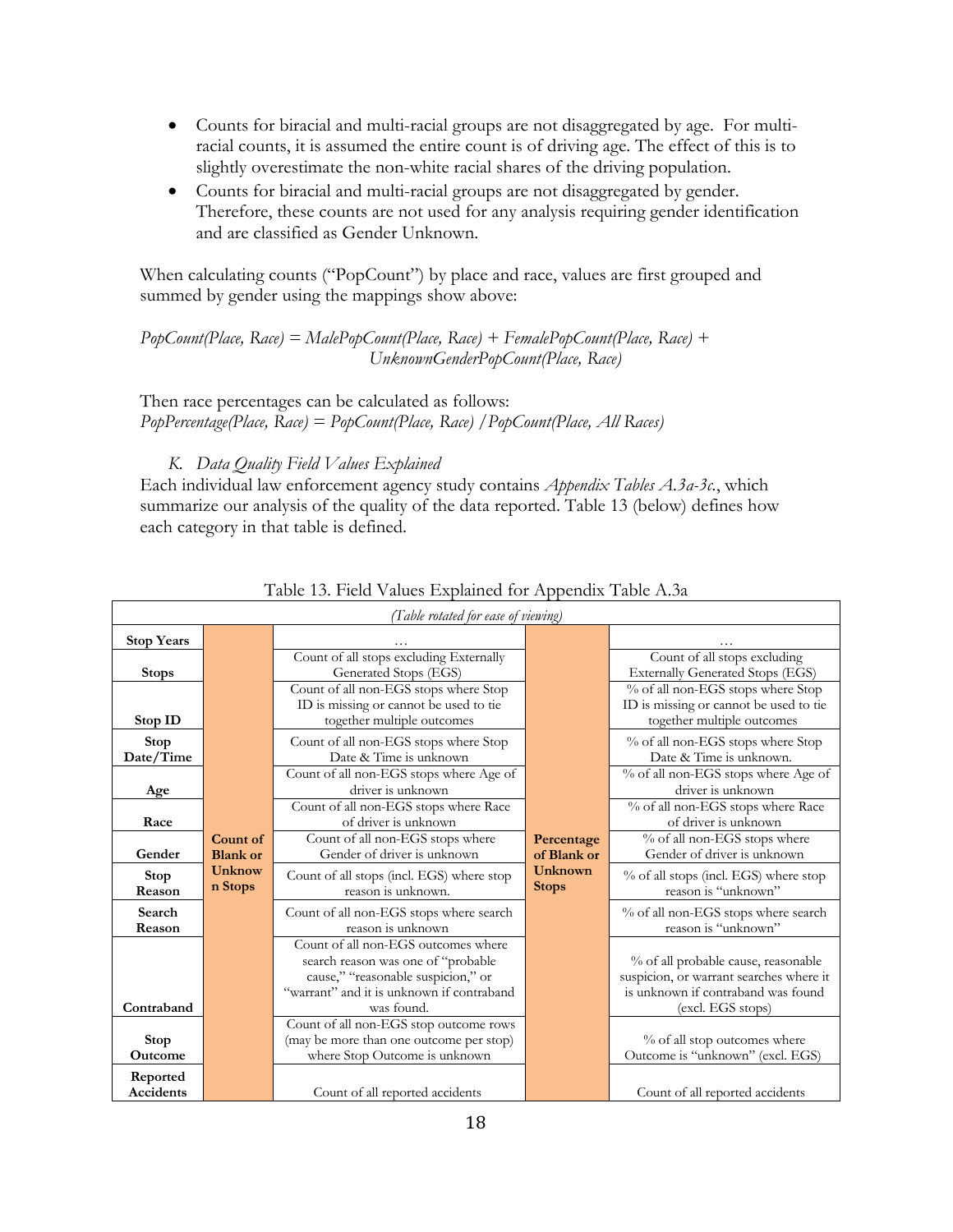- Counts for biracial and multi-racial groups are not disaggregated by age. For multiracial counts, it is assumed the entire count is of driving age. The effect of this is to slightly overestimate the non-white racial shares of the driving population.
- Counts for biracial and multi-racial groups are not disaggregated by gender. Therefore, these counts are not used for any analysis requiring gender identification and are classified as Gender Unknown.

When calculating counts ("PopCount") by place and race, values are first grouped and summed by gender using the mappings show above:

*PopCount(Place, Race) = MalePopCount(Place, Race) + FemalePopCount(Place, Race) + UnknownGenderPopCount(Place, Race)*

Then race percentages can be calculated as follows: *PopPercentage(Place, Race) = PopCount(Place, Race) /PopCount(Place, All Races)*

#### *K. Data Quality Field Values Explained*

Each individual law enforcement agency study contains *Appendix Tables A.3a-3c.*, which summarize our analysis of the quality of the data reported. Table 13 (below) defines how each category in that table is defined.

|                              |                             | (Table rotated for ease of viewing                                                                                                                                         |                                |                                                                                                                                           |
|------------------------------|-----------------------------|----------------------------------------------------------------------------------------------------------------------------------------------------------------------------|--------------------------------|-------------------------------------------------------------------------------------------------------------------------------------------|
| <b>Stop Years</b>            |                             |                                                                                                                                                                            |                                |                                                                                                                                           |
| <b>Stops</b>                 |                             | Count of all stops excluding Externally<br>Generated Stops (EGS)                                                                                                           |                                | Count of all stops excluding<br><b>Externally Generated Stops (EGS)</b>                                                                   |
| Stop ID                      |                             | Count of all non-EGS stops where Stop<br>ID is missing or cannot be used to tie<br>together multiple outcomes                                                              |                                | % of all non-EGS stops where Stop<br>ID is missing or cannot be used to tie<br>together multiple outcomes                                 |
| <b>Stop</b><br>Date/Time     |                             | Count of all non-EGS stops where Stop<br>Date & Time is unknown                                                                                                            |                                | % of all non-EGS stops where Stop<br>Date & Time is unknown.                                                                              |
| Age                          |                             | Count of all non-EGS stops where Age of<br>driver is unknown                                                                                                               |                                | % of all non-EGS stops where Age of<br>driver is unknown                                                                                  |
| Race                         |                             | Count of all non-EGS stops where Race<br>of driver is unknown                                                                                                              |                                | % of all non-EGS stops where Race<br>of driver is unknown                                                                                 |
| Gender                       | Count of<br><b>Blank</b> or | Count of all non-EGS stops where<br>Gender of driver is unknown                                                                                                            | Percentage<br>of Blank or      | % of all non-EGS stops where<br>Gender of driver is unknown                                                                               |
| Stop<br>Reason               | Unknow<br>n Stops           | Count of all stops (incl. EGS) where stop<br>reason is unknown.                                                                                                            | <b>Unknown</b><br><b>Stops</b> | % of all stops (incl. EGS) where stop<br>reason is "unknown"                                                                              |
| Search<br>Reason             |                             | Count of all non-EGS stops where search<br>reason is unknown                                                                                                               |                                | % of all non-EGS stops where search<br>reason is "unknown"                                                                                |
| Contraband                   |                             | Count of all non-EGS outcomes where<br>search reason was one of "probable<br>cause," "reasonable suspicion," or<br>"warrant" and it is unknown if contraband<br>was found. |                                | % of all probable cause, reasonable<br>suspicion, or warrant searches where it<br>is unknown if contraband was found<br>(excl. EGS stops) |
| <b>Stop</b><br>Outcome       |                             | Count of all non-EGS stop outcome rows<br>(may be more than one outcome per stop)<br>where Stop Outcome is unknown                                                         |                                | % of all stop outcomes where<br>Outcome is "unknown" (excl. EGS)                                                                          |
| Reported<br><b>Accidents</b> |                             | Count of all reported accidents                                                                                                                                            |                                | Count of all reported accidents                                                                                                           |

#### Table 13. Field Values Explained for Appendix Table A.3a